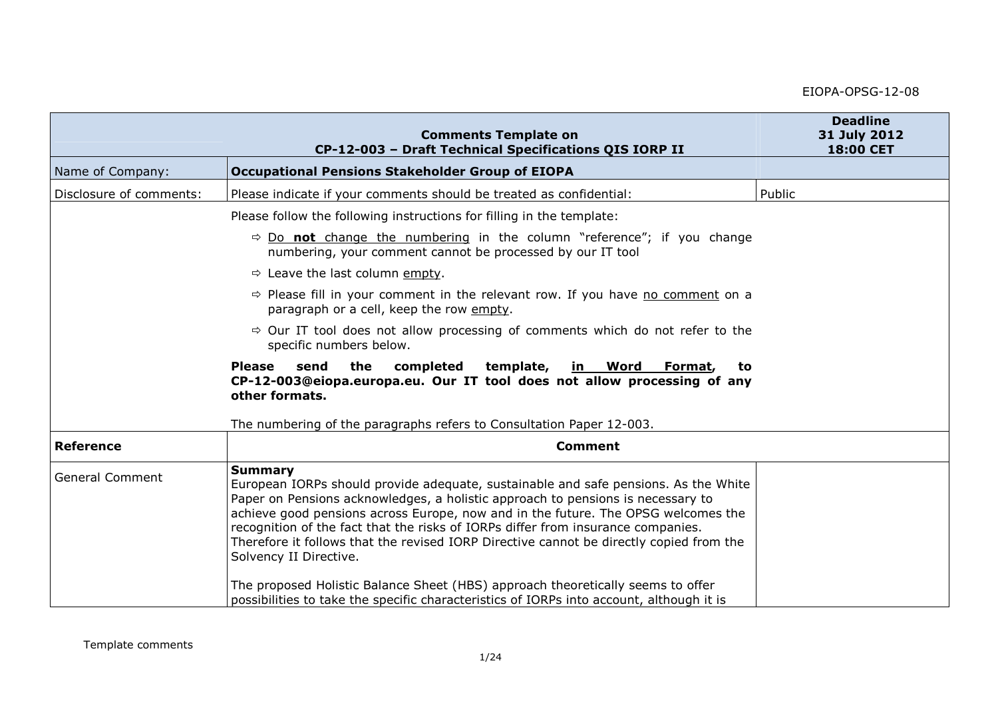|                         | <b>Comments Template on</b><br>CP-12-003 - Draft Technical Specifications QIS IORP II                                                                                                                                                                                                                                                                                                                                                                                                  | <b>Deadline</b><br>31 July 2012<br>18:00 CET |
|-------------------------|----------------------------------------------------------------------------------------------------------------------------------------------------------------------------------------------------------------------------------------------------------------------------------------------------------------------------------------------------------------------------------------------------------------------------------------------------------------------------------------|----------------------------------------------|
| Name of Company:        | <b>Occupational Pensions Stakeholder Group of EIOPA</b>                                                                                                                                                                                                                                                                                                                                                                                                                                |                                              |
| Disclosure of comments: | Please indicate if your comments should be treated as confidential:                                                                                                                                                                                                                                                                                                                                                                                                                    | Public                                       |
|                         | Please follow the following instructions for filling in the template:                                                                                                                                                                                                                                                                                                                                                                                                                  |                                              |
|                         | $\Rightarrow$ Do not change the numbering in the column "reference"; if you change<br>numbering, your comment cannot be processed by our IT tool                                                                                                                                                                                                                                                                                                                                       |                                              |
|                         | $\Rightarrow$ Leave the last column empty.                                                                                                                                                                                                                                                                                                                                                                                                                                             |                                              |
|                         | $\Rightarrow$ Please fill in your comment in the relevant row. If you have no comment on a<br>paragraph or a cell, keep the row empty.                                                                                                                                                                                                                                                                                                                                                 |                                              |
|                         | $\Rightarrow$ Our IT tool does not allow processing of comments which do not refer to the<br>specific numbers below.                                                                                                                                                                                                                                                                                                                                                                   |                                              |
|                         | <b>Please</b><br>send<br>the<br>completed<br>template,<br><b>Word</b><br>in<br>Format,<br>to<br>CP-12-003@eiopa.europa.eu. Our IT tool does not allow processing of any<br>other formats.<br>The numbering of the paragraphs refers to Consultation Paper 12-003.                                                                                                                                                                                                                      |                                              |
| <b>Reference</b>        | <b>Comment</b>                                                                                                                                                                                                                                                                                                                                                                                                                                                                         |                                              |
| <b>General Comment</b>  | <b>Summary</b><br>European IORPs should provide adequate, sustainable and safe pensions. As the White<br>Paper on Pensions acknowledges, a holistic approach to pensions is necessary to<br>achieve good pensions across Europe, now and in the future. The OPSG welcomes the<br>recognition of the fact that the risks of IORPs differ from insurance companies.<br>Therefore it follows that the revised IORP Directive cannot be directly copied from the<br>Solvency II Directive. |                                              |
|                         | The proposed Holistic Balance Sheet (HBS) approach theoretically seems to offer<br>possibilities to take the specific characteristics of IORPs into account, although it is                                                                                                                                                                                                                                                                                                            |                                              |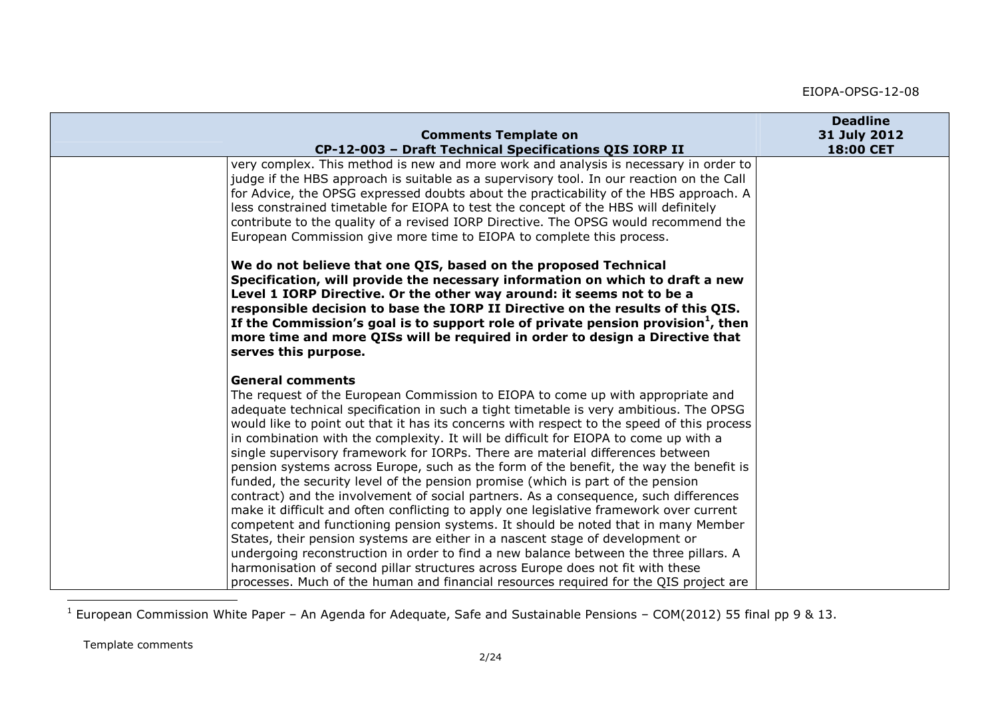| <b>Comments Template on</b><br>CP-12-003 - Draft Technical Specifications QIS IORP II                                                                                                                                                                                                                                                                                                                                                                                                                                                                                                                                                                                                                                                                                                                                                                                                                                                                                                                                                                                                                                                                                                                                                                                                   | <b>Deadline</b><br>31 July 2012<br>18:00 CET |
|-----------------------------------------------------------------------------------------------------------------------------------------------------------------------------------------------------------------------------------------------------------------------------------------------------------------------------------------------------------------------------------------------------------------------------------------------------------------------------------------------------------------------------------------------------------------------------------------------------------------------------------------------------------------------------------------------------------------------------------------------------------------------------------------------------------------------------------------------------------------------------------------------------------------------------------------------------------------------------------------------------------------------------------------------------------------------------------------------------------------------------------------------------------------------------------------------------------------------------------------------------------------------------------------|----------------------------------------------|
| very complex. This method is new and more work and analysis is necessary in order to<br>judge if the HBS approach is suitable as a supervisory tool. In our reaction on the Call<br>for Advice, the OPSG expressed doubts about the practicability of the HBS approach. A<br>less constrained timetable for EIOPA to test the concept of the HBS will definitely<br>contribute to the quality of a revised IORP Directive. The OPSG would recommend the<br>European Commission give more time to EIOPA to complete this process.                                                                                                                                                                                                                                                                                                                                                                                                                                                                                                                                                                                                                                                                                                                                                        |                                              |
| We do not believe that one QIS, based on the proposed Technical<br>Specification, will provide the necessary information on which to draft a new<br>Level 1 IORP Directive. Or the other way around: it seems not to be a<br>responsible decision to base the IORP II Directive on the results of this QIS.<br>If the Commission's goal is to support role of private pension provision $1$ , then<br>more time and more QISs will be required in order to design a Directive that<br>serves this purpose.                                                                                                                                                                                                                                                                                                                                                                                                                                                                                                                                                                                                                                                                                                                                                                              |                                              |
| <b>General comments</b><br>The request of the European Commission to EIOPA to come up with appropriate and<br>adequate technical specification in such a tight timetable is very ambitious. The OPSG<br>would like to point out that it has its concerns with respect to the speed of this process<br>in combination with the complexity. It will be difficult for EIOPA to come up with a<br>single supervisory framework for IORPs. There are material differences between<br>pension systems across Europe, such as the form of the benefit, the way the benefit is<br>funded, the security level of the pension promise (which is part of the pension<br>contract) and the involvement of social partners. As a consequence, such differences<br>make it difficult and often conflicting to apply one legislative framework over current<br>competent and functioning pension systems. It should be noted that in many Member<br>States, their pension systems are either in a nascent stage of development or<br>undergoing reconstruction in order to find a new balance between the three pillars. A<br>harmonisation of second pillar structures across Europe does not fit with these<br>processes. Much of the human and financial resources required for the QIS project are |                                              |

 $1$  European Commission White Paper – An Agenda for Adequate, Safe and Sustainable Pensions – COM(2012) 55 final pp 9 & 13.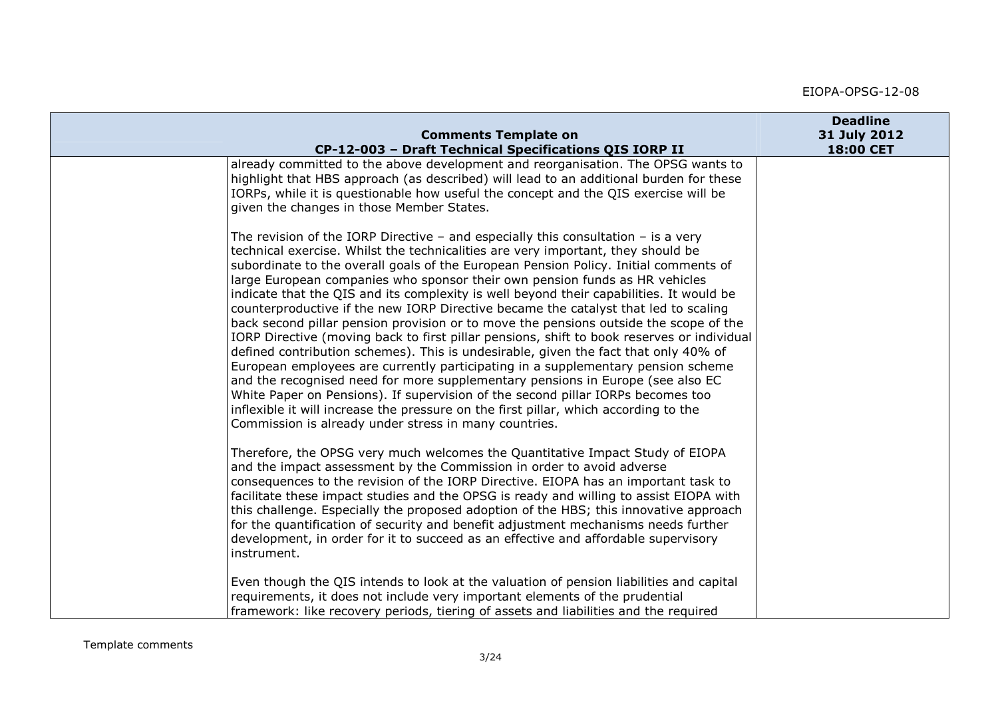| <b>Comments Template on</b>                                                                                                                                                                                                                                                                                                                                                                                                                                                                                                                                                                                                                                                                                                                                                                                                                                                                                                                                                                                                                                                                                                                                                                                             | <b>Deadline</b><br>31 July 2012 |
|-------------------------------------------------------------------------------------------------------------------------------------------------------------------------------------------------------------------------------------------------------------------------------------------------------------------------------------------------------------------------------------------------------------------------------------------------------------------------------------------------------------------------------------------------------------------------------------------------------------------------------------------------------------------------------------------------------------------------------------------------------------------------------------------------------------------------------------------------------------------------------------------------------------------------------------------------------------------------------------------------------------------------------------------------------------------------------------------------------------------------------------------------------------------------------------------------------------------------|---------------------------------|
| CP-12-003 - Draft Technical Specifications QIS IORP II                                                                                                                                                                                                                                                                                                                                                                                                                                                                                                                                                                                                                                                                                                                                                                                                                                                                                                                                                                                                                                                                                                                                                                  | 18:00 CET                       |
| already committed to the above development and reorganisation. The OPSG wants to<br>highlight that HBS approach (as described) will lead to an additional burden for these<br>IORPs, while it is questionable how useful the concept and the QIS exercise will be<br>given the changes in those Member States.                                                                                                                                                                                                                                                                                                                                                                                                                                                                                                                                                                                                                                                                                                                                                                                                                                                                                                          |                                 |
| The revision of the IORP Directive - and especially this consultation - is a very<br>technical exercise. Whilst the technicalities are very important, they should be<br>subordinate to the overall goals of the European Pension Policy. Initial comments of<br>large European companies who sponsor their own pension funds as HR vehicles<br>indicate that the QIS and its complexity is well beyond their capabilities. It would be<br>counterproductive if the new IORP Directive became the catalyst that led to scaling<br>back second pillar pension provision or to move the pensions outside the scope of the<br>[IORP Directive (moving back to first pillar pensions, shift to book reserves or individual<br>defined contribution schemes). This is undesirable, given the fact that only 40% of<br>European employees are currently participating in a supplementary pension scheme<br>and the recognised need for more supplementary pensions in Europe (see also EC<br>White Paper on Pensions). If supervision of the second pillar IORPs becomes too<br>inflexible it will increase the pressure on the first pillar, which according to the<br>Commission is already under stress in many countries. |                                 |
| Therefore, the OPSG very much welcomes the Quantitative Impact Study of EIOPA<br>and the impact assessment by the Commission in order to avoid adverse<br>consequences to the revision of the IORP Directive. EIOPA has an important task to<br>facilitate these impact studies and the OPSG is ready and willing to assist EIOPA with<br>this challenge. Especially the proposed adoption of the HBS; this innovative approach<br>for the quantification of security and benefit adjustment mechanisms needs further<br>development, in order for it to succeed as an effective and affordable supervisory<br>instrument.                                                                                                                                                                                                                                                                                                                                                                                                                                                                                                                                                                                              |                                 |
| Even though the QIS intends to look at the valuation of pension liabilities and capital<br>requirements, it does not include very important elements of the prudential<br>framework: like recovery periods, tiering of assets and liabilities and the required                                                                                                                                                                                                                                                                                                                                                                                                                                                                                                                                                                                                                                                                                                                                                                                                                                                                                                                                                          |                                 |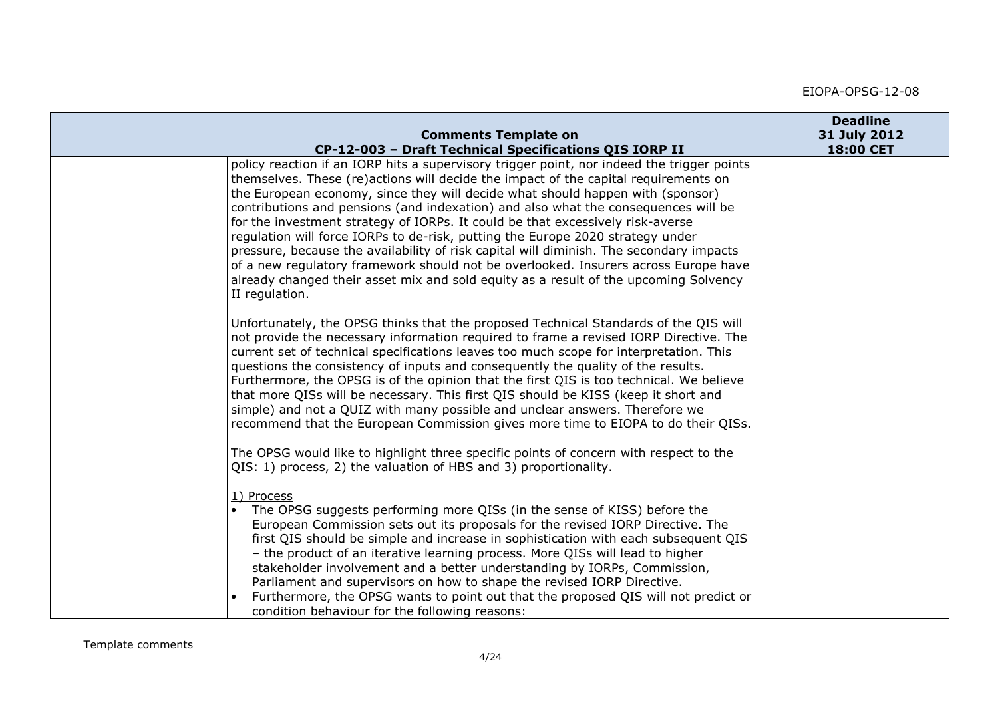| <b>Comments Template on</b>                                                                                                                                                                                                                                                                                                                                                                                                                                                                                                                                                                                                                                                                                                                                                                                               | <b>Deadline</b><br>31 July 2012 |
|---------------------------------------------------------------------------------------------------------------------------------------------------------------------------------------------------------------------------------------------------------------------------------------------------------------------------------------------------------------------------------------------------------------------------------------------------------------------------------------------------------------------------------------------------------------------------------------------------------------------------------------------------------------------------------------------------------------------------------------------------------------------------------------------------------------------------|---------------------------------|
| CP-12-003 - Draft Technical Specifications QIS IORP II                                                                                                                                                                                                                                                                                                                                                                                                                                                                                                                                                                                                                                                                                                                                                                    | 18:00 CET                       |
| policy reaction if an IORP hits a supervisory trigger point, nor indeed the trigger points<br>themselves. These (re)actions will decide the impact of the capital requirements on<br>the European economy, since they will decide what should happen with (sponsor)<br>contributions and pensions (and indexation) and also what the consequences will be<br>for the investment strategy of IORPs. It could be that excessively risk-averse<br>regulation will force IORPs to de-risk, putting the Europe 2020 strategy under<br>pressure, because the availability of risk capital will diminish. The secondary impacts<br>of a new regulatory framework should not be overlooked. Insurers across Europe have<br>already changed their asset mix and sold equity as a result of the upcoming Solvency<br>II regulation. |                                 |
| Unfortunately, the OPSG thinks that the proposed Technical Standards of the QIS will<br>not provide the necessary information required to frame a revised IORP Directive. The<br>current set of technical specifications leaves too much scope for interpretation. This<br>questions the consistency of inputs and consequently the quality of the results.<br>Furthermore, the OPSG is of the opinion that the first QIS is too technical. We believe<br>that more QISs will be necessary. This first QIS should be KISS (keep it short and<br>simple) and not a QUIZ with many possible and unclear answers. Therefore we<br>recommend that the European Commission gives more time to EIOPA to do their QISs.                                                                                                          |                                 |
| The OPSG would like to highlight three specific points of concern with respect to the<br>QIS: 1) process, 2) the valuation of HBS and 3) proportionality.                                                                                                                                                                                                                                                                                                                                                                                                                                                                                                                                                                                                                                                                 |                                 |
| 1) Process<br>The OPSG suggests performing more QISs (in the sense of KISS) before the<br>European Commission sets out its proposals for the revised IORP Directive. The<br>first QIS should be simple and increase in sophistication with each subsequent QIS<br>- the product of an iterative learning process. More QISs will lead to higher<br>stakeholder involvement and a better understanding by IORPs, Commission,<br>Parliament and supervisors on how to shape the revised IORP Directive.<br>Furthermore, the OPSG wants to point out that the proposed QIS will not predict or<br>condition behaviour for the following reasons:                                                                                                                                                                             |                                 |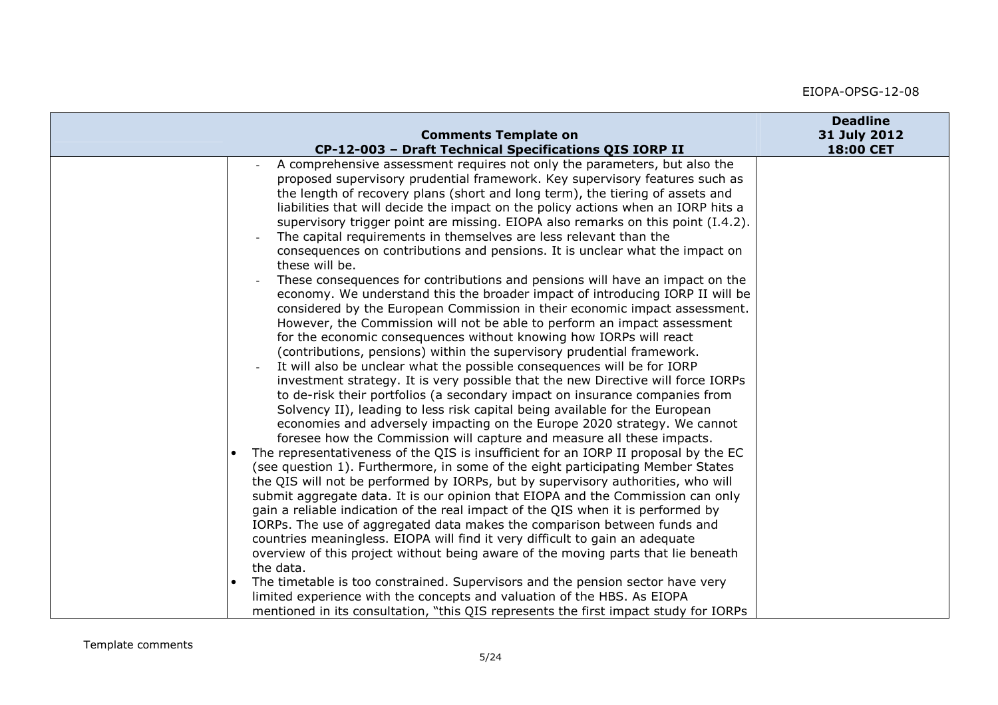| <b>Comments Template on</b>                                                                                                                                                                                                                                                                                                                                                                                                                                                                                                                                                                                                                                                                                                                                                                                                                                                                                                                                                                                                                                                                                                                                                                                                                                                                                                                                                                                                                                                                                                                                                                                                                                                                                                                                                                                                                                                                                                                                                                                                                                                                                                                                                                                                                                | <b>Deadline</b><br>31 July 2012 |
|------------------------------------------------------------------------------------------------------------------------------------------------------------------------------------------------------------------------------------------------------------------------------------------------------------------------------------------------------------------------------------------------------------------------------------------------------------------------------------------------------------------------------------------------------------------------------------------------------------------------------------------------------------------------------------------------------------------------------------------------------------------------------------------------------------------------------------------------------------------------------------------------------------------------------------------------------------------------------------------------------------------------------------------------------------------------------------------------------------------------------------------------------------------------------------------------------------------------------------------------------------------------------------------------------------------------------------------------------------------------------------------------------------------------------------------------------------------------------------------------------------------------------------------------------------------------------------------------------------------------------------------------------------------------------------------------------------------------------------------------------------------------------------------------------------------------------------------------------------------------------------------------------------------------------------------------------------------------------------------------------------------------------------------------------------------------------------------------------------------------------------------------------------------------------------------------------------------------------------------------------------|---------------------------------|
| CP-12-003 - Draft Technical Specifications QIS IORP II                                                                                                                                                                                                                                                                                                                                                                                                                                                                                                                                                                                                                                                                                                                                                                                                                                                                                                                                                                                                                                                                                                                                                                                                                                                                                                                                                                                                                                                                                                                                                                                                                                                                                                                                                                                                                                                                                                                                                                                                                                                                                                                                                                                                     | 18:00 CET                       |
| A comprehensive assessment requires not only the parameters, but also the<br>proposed supervisory prudential framework. Key supervisory features such as<br>the length of recovery plans (short and long term), the tiering of assets and<br>liabilities that will decide the impact on the policy actions when an IORP hits a<br>supervisory trigger point are missing. EIOPA also remarks on this point (I.4.2).<br>The capital requirements in themselves are less relevant than the<br>consequences on contributions and pensions. It is unclear what the impact on<br>these will be.<br>These consequences for contributions and pensions will have an impact on the<br>economy. We understand this the broader impact of introducing IORP II will be<br>considered by the European Commission in their economic impact assessment.<br>However, the Commission will not be able to perform an impact assessment<br>for the economic consequences without knowing how IORPs will react<br>(contributions, pensions) within the supervisory prudential framework.<br>It will also be unclear what the possible consequences will be for IORP<br>investment strategy. It is very possible that the new Directive will force IORPs<br>to de-risk their portfolios (a secondary impact on insurance companies from<br>Solvency II), leading to less risk capital being available for the European<br>economies and adversely impacting on the Europe 2020 strategy. We cannot<br>foresee how the Commission will capture and measure all these impacts.<br>The representativeness of the QIS is insufficient for an IORP II proposal by the EC<br>(see question 1). Furthermore, in some of the eight participating Member States<br>the QIS will not be performed by IORPs, but by supervisory authorities, who will<br>submit aggregate data. It is our opinion that EIOPA and the Commission can only<br>gain a reliable indication of the real impact of the QIS when it is performed by<br>IORPs. The use of aggregated data makes the comparison between funds and<br>countries meaningless. EIOPA will find it very difficult to gain an adequate<br>overview of this project without being aware of the moving parts that lie beneath<br>the data. |                                 |
| The timetable is too constrained. Supervisors and the pension sector have very<br>limited experience with the concepts and valuation of the HBS. As EIOPA                                                                                                                                                                                                                                                                                                                                                                                                                                                                                                                                                                                                                                                                                                                                                                                                                                                                                                                                                                                                                                                                                                                                                                                                                                                                                                                                                                                                                                                                                                                                                                                                                                                                                                                                                                                                                                                                                                                                                                                                                                                                                                  |                                 |
| mentioned in its consultation, "this QIS represents the first impact study for IORPs                                                                                                                                                                                                                                                                                                                                                                                                                                                                                                                                                                                                                                                                                                                                                                                                                                                                                                                                                                                                                                                                                                                                                                                                                                                                                                                                                                                                                                                                                                                                                                                                                                                                                                                                                                                                                                                                                                                                                                                                                                                                                                                                                                       |                                 |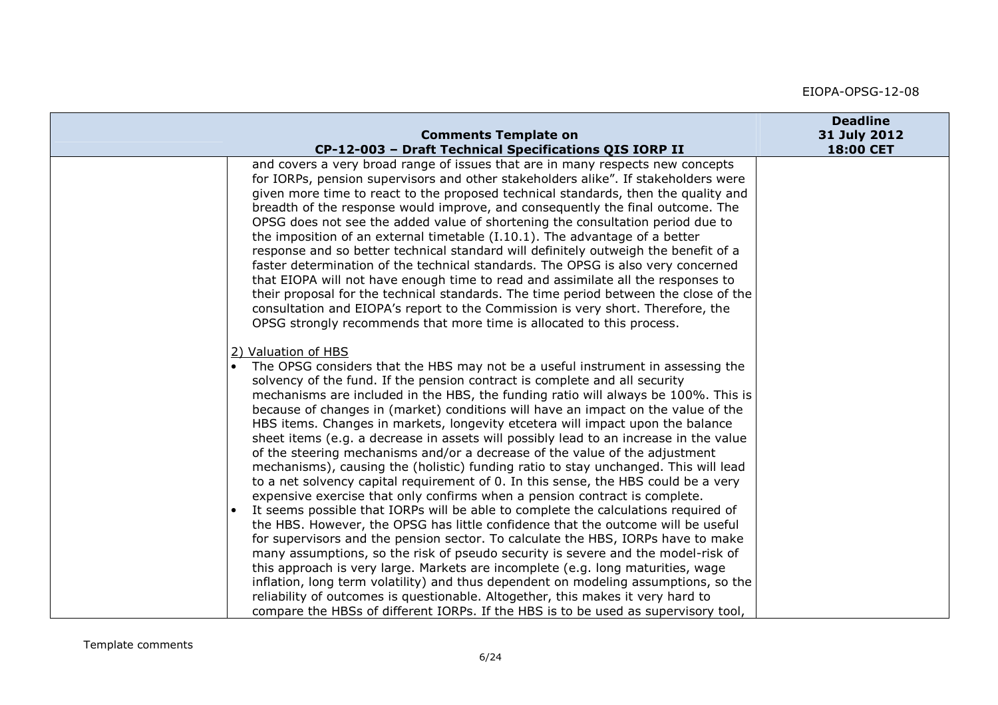|                                                                                                                                                                                                                                                                                                                                                                                                                                                                                                                                                                                                                                                                                                                                                                                                                                                                                                                                                                                                                                                                                                                                                                                                                                                                                                                                                                                                                                                                                                                                                                                           | <b>Deadline</b> |
|-------------------------------------------------------------------------------------------------------------------------------------------------------------------------------------------------------------------------------------------------------------------------------------------------------------------------------------------------------------------------------------------------------------------------------------------------------------------------------------------------------------------------------------------------------------------------------------------------------------------------------------------------------------------------------------------------------------------------------------------------------------------------------------------------------------------------------------------------------------------------------------------------------------------------------------------------------------------------------------------------------------------------------------------------------------------------------------------------------------------------------------------------------------------------------------------------------------------------------------------------------------------------------------------------------------------------------------------------------------------------------------------------------------------------------------------------------------------------------------------------------------------------------------------------------------------------------------------|-----------------|
| <b>Comments Template on</b>                                                                                                                                                                                                                                                                                                                                                                                                                                                                                                                                                                                                                                                                                                                                                                                                                                                                                                                                                                                                                                                                                                                                                                                                                                                                                                                                                                                                                                                                                                                                                               | 31 July 2012    |
| CP-12-003 - Draft Technical Specifications QIS IORP II                                                                                                                                                                                                                                                                                                                                                                                                                                                                                                                                                                                                                                                                                                                                                                                                                                                                                                                                                                                                                                                                                                                                                                                                                                                                                                                                                                                                                                                                                                                                    | 18:00 CET       |
| and covers a very broad range of issues that are in many respects new concepts<br>for IORPs, pension supervisors and other stakeholders alike". If stakeholders were<br>given more time to react to the proposed technical standards, then the quality and<br>breadth of the response would improve, and consequently the final outcome. The<br>OPSG does not see the added value of shortening the consultation period due to<br>the imposition of an external timetable $(I.10.1)$ . The advantage of a better<br>response and so better technical standard will definitely outweigh the benefit of a<br>faster determination of the technical standards. The OPSG is also very concerned<br>that EIOPA will not have enough time to read and assimilate all the responses to<br>their proposal for the technical standards. The time period between the close of the<br>consultation and EIOPA's report to the Commission is very short. Therefore, the<br>OPSG strongly recommends that more time is allocated to this process.                                                                                                                                                                                                                                                                                                                                                                                                                                                                                                                                                       |                 |
| 2) Valuation of HBS<br>The OPSG considers that the HBS may not be a useful instrument in assessing the<br>solvency of the fund. If the pension contract is complete and all security<br>mechanisms are included in the HBS, the funding ratio will always be 100%. This is<br>because of changes in (market) conditions will have an impact on the value of the<br>HBS items. Changes in markets, longevity etcetera will impact upon the balance<br>sheet items (e.g. a decrease in assets will possibly lead to an increase in the value<br>of the steering mechanisms and/or a decrease of the value of the adjustment<br>mechanisms), causing the (holistic) funding ratio to stay unchanged. This will lead<br>to a net solvency capital requirement of 0. In this sense, the HBS could be a very<br>expensive exercise that only confirms when a pension contract is complete.<br>It seems possible that IORPs will be able to complete the calculations required of<br>the HBS. However, the OPSG has little confidence that the outcome will be useful<br>for supervisors and the pension sector. To calculate the HBS, IORPs have to make<br>many assumptions, so the risk of pseudo security is severe and the model-risk of<br>this approach is very large. Markets are incomplete (e.g. long maturities, wage<br>inflation, long term volatility) and thus dependent on modeling assumptions, so the<br>reliability of outcomes is questionable. Altogether, this makes it very hard to<br>compare the HBSs of different IORPs. If the HBS is to be used as supervisory tool, |                 |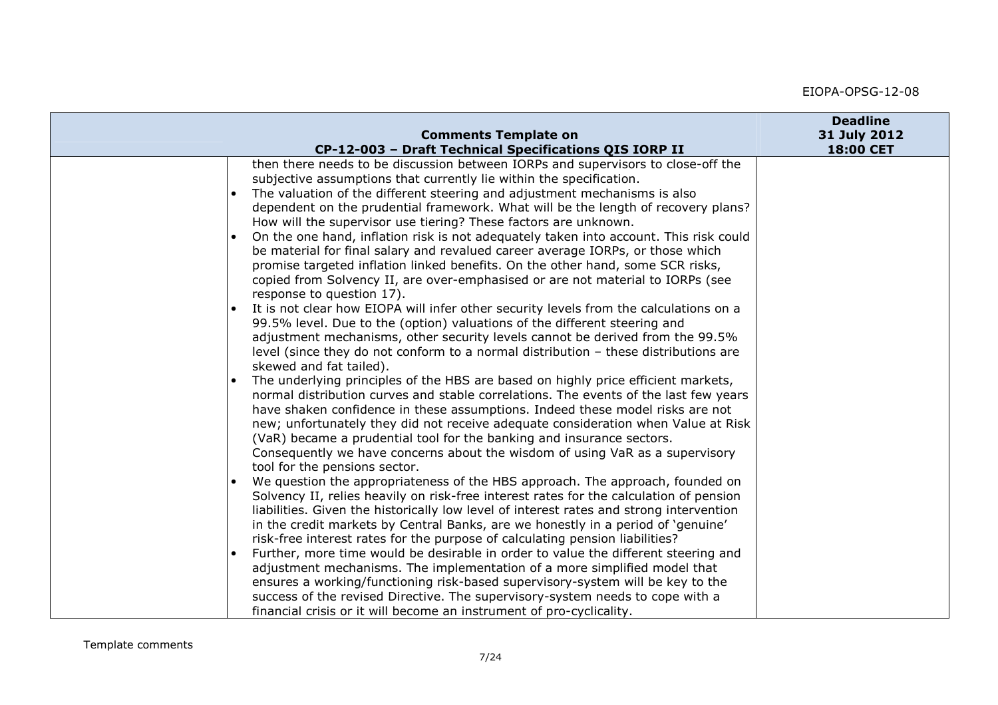|                                                                                                                                                                                                                                                                                                                                                                                                                                                                                                                                                                                                                                                                                                                                                                                                                                                                                                                                                                                                                                                                                                                                                                                                                                                                                                                                                                                                                                                                                                                                                                                                                                                                                                                                                                                                                                                                                                                                                                                                                                                                                                                                                                                                                                   | <b>Deadline</b> |
|-----------------------------------------------------------------------------------------------------------------------------------------------------------------------------------------------------------------------------------------------------------------------------------------------------------------------------------------------------------------------------------------------------------------------------------------------------------------------------------------------------------------------------------------------------------------------------------------------------------------------------------------------------------------------------------------------------------------------------------------------------------------------------------------------------------------------------------------------------------------------------------------------------------------------------------------------------------------------------------------------------------------------------------------------------------------------------------------------------------------------------------------------------------------------------------------------------------------------------------------------------------------------------------------------------------------------------------------------------------------------------------------------------------------------------------------------------------------------------------------------------------------------------------------------------------------------------------------------------------------------------------------------------------------------------------------------------------------------------------------------------------------------------------------------------------------------------------------------------------------------------------------------------------------------------------------------------------------------------------------------------------------------------------------------------------------------------------------------------------------------------------------------------------------------------------------------------------------------------------|-----------------|
|                                                                                                                                                                                                                                                                                                                                                                                                                                                                                                                                                                                                                                                                                                                                                                                                                                                                                                                                                                                                                                                                                                                                                                                                                                                                                                                                                                                                                                                                                                                                                                                                                                                                                                                                                                                                                                                                                                                                                                                                                                                                                                                                                                                                                                   | 18:00 CET       |
| <b>Comments Template on</b><br>CP-12-003 - Draft Technical Specifications QIS IORP II<br>then there needs to be discussion between IORPs and supervisors to close-off the<br>subjective assumptions that currently lie within the specification.<br>The valuation of the different steering and adjustment mechanisms is also<br>dependent on the prudential framework. What will be the length of recovery plans?<br>How will the supervisor use tiering? These factors are unknown.<br>On the one hand, inflation risk is not adequately taken into account. This risk could<br>be material for final salary and revalued career average IORPs, or those which<br>promise targeted inflation linked benefits. On the other hand, some SCR risks,<br>copied from Solvency II, are over-emphasised or are not material to IORPs (see<br>response to question 17).<br>It is not clear how EIOPA will infer other security levels from the calculations on a<br>99.5% level. Due to the (option) valuations of the different steering and<br>adjustment mechanisms, other security levels cannot be derived from the 99.5%<br>level (since they do not conform to a normal distribution - these distributions are<br>skewed and fat tailed).<br>The underlying principles of the HBS are based on highly price efficient markets,<br>normal distribution curves and stable correlations. The events of the last few years<br>have shaken confidence in these assumptions. Indeed these model risks are not<br>new; unfortunately they did not receive adequate consideration when Value at Risk<br>(VaR) became a prudential tool for the banking and insurance sectors.<br>Consequently we have concerns about the wisdom of using VaR as a supervisory<br>tool for the pensions sector.<br>We question the appropriateness of the HBS approach. The approach, founded on<br>Solvency II, relies heavily on risk-free interest rates for the calculation of pension<br>liabilities. Given the historically low level of interest rates and strong intervention<br>in the credit markets by Central Banks, are we honestly in a period of 'genuine'<br>risk-free interest rates for the purpose of calculating pension liabilities? | 31 July 2012    |
| Further, more time would be desirable in order to value the different steering and                                                                                                                                                                                                                                                                                                                                                                                                                                                                                                                                                                                                                                                                                                                                                                                                                                                                                                                                                                                                                                                                                                                                                                                                                                                                                                                                                                                                                                                                                                                                                                                                                                                                                                                                                                                                                                                                                                                                                                                                                                                                                                                                                |                 |
| adjustment mechanisms. The implementation of a more simplified model that                                                                                                                                                                                                                                                                                                                                                                                                                                                                                                                                                                                                                                                                                                                                                                                                                                                                                                                                                                                                                                                                                                                                                                                                                                                                                                                                                                                                                                                                                                                                                                                                                                                                                                                                                                                                                                                                                                                                                                                                                                                                                                                                                         |                 |
| ensures a working/functioning risk-based supervisory-system will be key to the<br>success of the revised Directive. The supervisory-system needs to cope with a                                                                                                                                                                                                                                                                                                                                                                                                                                                                                                                                                                                                                                                                                                                                                                                                                                                                                                                                                                                                                                                                                                                                                                                                                                                                                                                                                                                                                                                                                                                                                                                                                                                                                                                                                                                                                                                                                                                                                                                                                                                                   |                 |
| financial crisis or it will become an instrument of pro-cyclicality.                                                                                                                                                                                                                                                                                                                                                                                                                                                                                                                                                                                                                                                                                                                                                                                                                                                                                                                                                                                                                                                                                                                                                                                                                                                                                                                                                                                                                                                                                                                                                                                                                                                                                                                                                                                                                                                                                                                                                                                                                                                                                                                                                              |                 |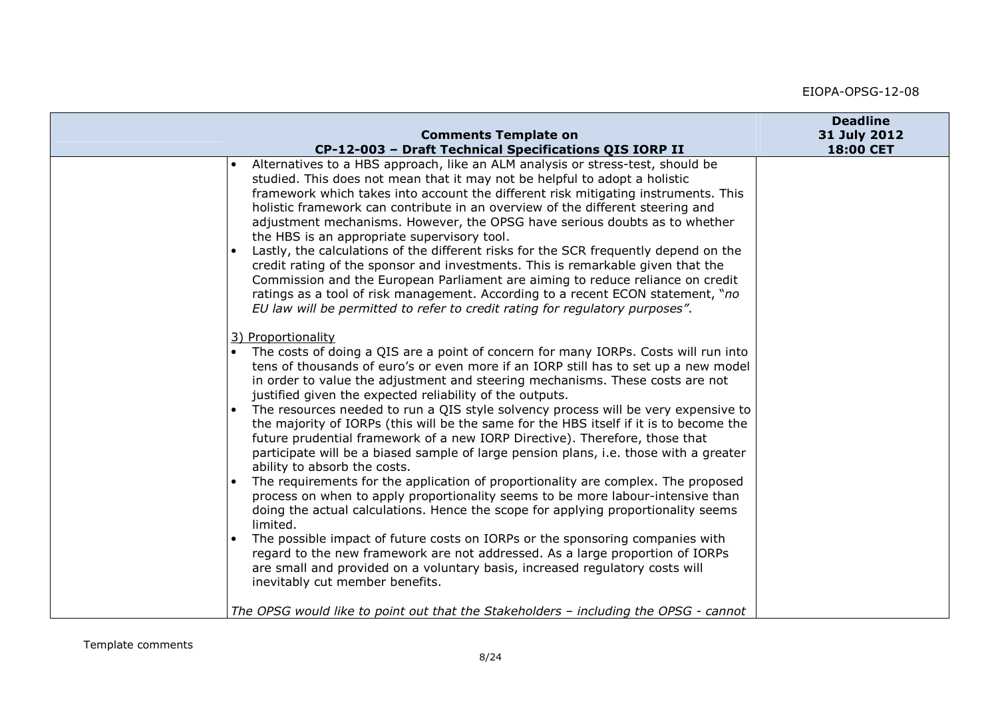| Alternatives to a HBS approach, like an ALM analysis or stress-test, should be<br>studied. This does not mean that it may not be helpful to adopt a holistic<br>framework which takes into account the different risk mitigating instruments. This<br>holistic framework can contribute in an overview of the different steering and<br>adjustment mechanisms. However, the OPSG have serious doubts as to whether<br>the HBS is an appropriate supervisory tool.<br>Lastly, the calculations of the different risks for the SCR frequently depend on the<br>credit rating of the sponsor and investments. This is remarkable given that the<br>Commission and the European Parliament are aiming to reduce reliance on credit<br>ratings as a tool of risk management. According to a recent ECON statement, "no<br>EU law will be permitted to refer to credit rating for regulatory purposes".<br>3) Proportionality<br>The costs of doing a QIS are a point of concern for many IORPs. Costs will run into<br>tens of thousands of euro's or even more if an IORP still has to set up a new model<br>in order to value the adjustment and steering mechanisms. These costs are not<br>justified given the expected reliability of the outputs.<br>The resources needed to run a QIS style solvency process will be very expensive to<br>the majority of IORPs (this will be the same for the HBS itself if it is to become the<br>future prudential framework of a new IORP Directive). Therefore, those that<br>participate will be a biased sample of large pension plans, i.e. those with a greater<br>ability to absorb the costs.<br>The requirements for the application of proportionality are complex. The proposed<br>process on when to apply proportionality seems to be more labour-intensive than<br>doing the actual calculations. Hence the scope for applying proportionality seems<br>limited.<br>The possible impact of future costs on IORPs or the sponsoring companies with<br>regard to the new framework are not addressed. As a large proportion of IORPs | <b>Comments Template on</b>                            | <b>Deadline</b><br>31 July 2012 |
|---------------------------------------------------------------------------------------------------------------------------------------------------------------------------------------------------------------------------------------------------------------------------------------------------------------------------------------------------------------------------------------------------------------------------------------------------------------------------------------------------------------------------------------------------------------------------------------------------------------------------------------------------------------------------------------------------------------------------------------------------------------------------------------------------------------------------------------------------------------------------------------------------------------------------------------------------------------------------------------------------------------------------------------------------------------------------------------------------------------------------------------------------------------------------------------------------------------------------------------------------------------------------------------------------------------------------------------------------------------------------------------------------------------------------------------------------------------------------------------------------------------------------------------------------------------------------------------------------------------------------------------------------------------------------------------------------------------------------------------------------------------------------------------------------------------------------------------------------------------------------------------------------------------------------------------------------------------------------------------------------------------------------------------------------------------------------------------|--------------------------------------------------------|---------------------------------|
|                                                                                                                                                                                                                                                                                                                                                                                                                                                                                                                                                                                                                                                                                                                                                                                                                                                                                                                                                                                                                                                                                                                                                                                                                                                                                                                                                                                                                                                                                                                                                                                                                                                                                                                                                                                                                                                                                                                                                                                                                                                                                       | CP-12-003 - Draft Technical Specifications QIS IORP II | 18:00 CET                       |
| are small and provided on a voluntary basis, increased regulatory costs will<br>inevitably cut member benefits.<br>The OPSG would like to point out that the Stakeholders - including the OPSG - cannot                                                                                                                                                                                                                                                                                                                                                                                                                                                                                                                                                                                                                                                                                                                                                                                                                                                                                                                                                                                                                                                                                                                                                                                                                                                                                                                                                                                                                                                                                                                                                                                                                                                                                                                                                                                                                                                                               |                                                        |                                 |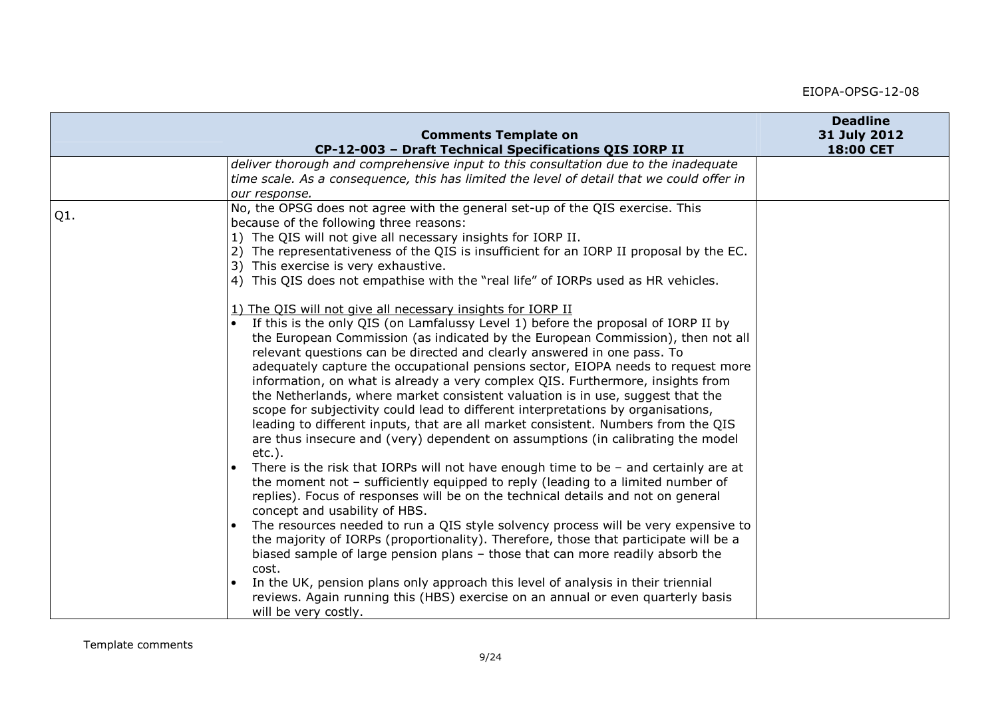|     | <b>Comments Template on</b>                                                                                                                                                                                                                                                                                                                                                                                                                                                                                                                                                                                                                                                                                                                                                                                                                     | <b>Deadline</b><br>31 July 2012 |
|-----|-------------------------------------------------------------------------------------------------------------------------------------------------------------------------------------------------------------------------------------------------------------------------------------------------------------------------------------------------------------------------------------------------------------------------------------------------------------------------------------------------------------------------------------------------------------------------------------------------------------------------------------------------------------------------------------------------------------------------------------------------------------------------------------------------------------------------------------------------|---------------------------------|
|     | CP-12-003 - Draft Technical Specifications QIS IORP II                                                                                                                                                                                                                                                                                                                                                                                                                                                                                                                                                                                                                                                                                                                                                                                          | 18:00 CET                       |
|     | deliver thorough and comprehensive input to this consultation due to the inadequate<br>time scale. As a consequence, this has limited the level of detail that we could offer in<br>our response.                                                                                                                                                                                                                                                                                                                                                                                                                                                                                                                                                                                                                                               |                                 |
| Q1. | No, the OPSG does not agree with the general set-up of the QIS exercise. This<br>because of the following three reasons:<br>1) The QIS will not give all necessary insights for IORP II.<br>2) The representativeness of the QIS is insufficient for an IORP II proposal by the EC.<br>3) This exercise is very exhaustive.<br>4) This QIS does not empathise with the "real life" of IORPs used as HR vehicles.                                                                                                                                                                                                                                                                                                                                                                                                                                |                                 |
|     | 1) The QIS will not give all necessary insights for IORP II<br>If this is the only QIS (on Lamfalussy Level 1) before the proposal of IORP II by<br>the European Commission (as indicated by the European Commission), then not all<br>relevant questions can be directed and clearly answered in one pass. To<br>adequately capture the occupational pensions sector, EIOPA needs to request more<br>information, on what is already a very complex QIS. Furthermore, insights from<br>the Netherlands, where market consistent valuation is in use, suggest that the<br>scope for subjectivity could lead to different interpretations by organisations,<br>leading to different inputs, that are all market consistent. Numbers from the QIS<br>are thus insecure and (very) dependent on assumptions (in calibrating the model<br>$etc.$ ). |                                 |
|     | There is the risk that IORPs will not have enough time to be $-$ and certainly are at<br>the moment not - sufficiently equipped to reply (leading to a limited number of<br>replies). Focus of responses will be on the technical details and not on general<br>concept and usability of HBS.                                                                                                                                                                                                                                                                                                                                                                                                                                                                                                                                                   |                                 |
|     | The resources needed to run a QIS style solvency process will be very expensive to<br>the majority of IORPs (proportionality). Therefore, those that participate will be a<br>biased sample of large pension plans - those that can more readily absorb the<br>cost.<br>In the UK, pension plans only approach this level of analysis in their triennial<br>reviews. Again running this (HBS) exercise on an annual or even quarterly basis<br>will be very costly.                                                                                                                                                                                                                                                                                                                                                                             |                                 |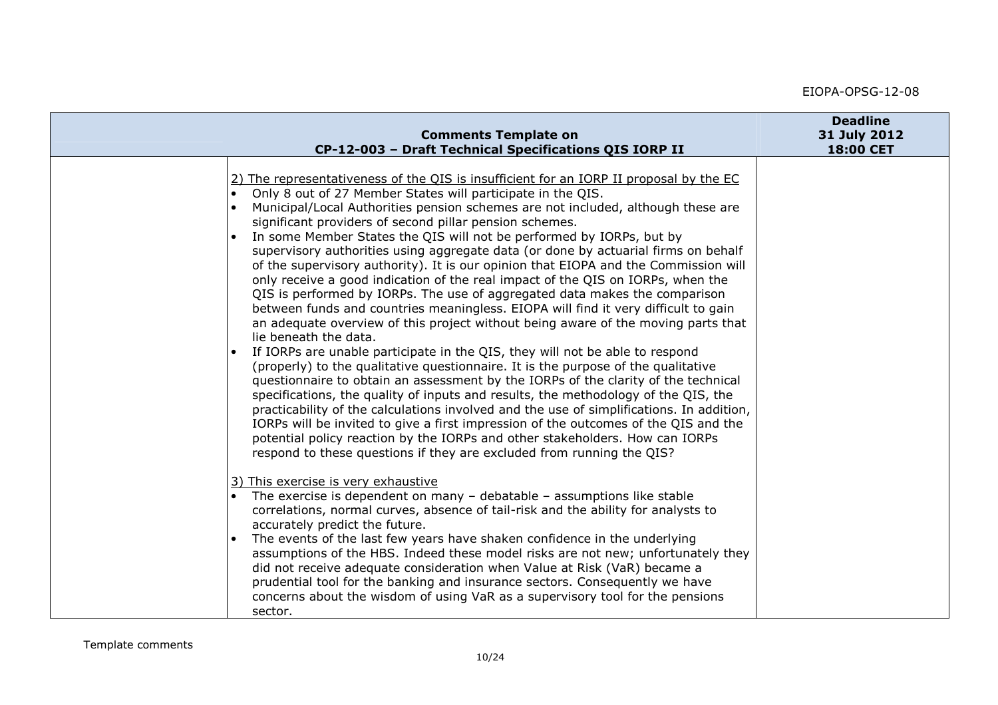| <b>Comments Template on</b><br>CP-12-003 - Draft Technical Specifications QIS IORP II                                                                                                                                                                                                                                                                                                                                                                                                                                                                                                                                                                                                                                                                                                                                                                                                                                                                                                                                                                                                                                                                                                                                                                                                                                                                                                                                                                                                                                                                                                                                       | <b>Deadline</b><br>31 July 2012<br>18:00 CET |
|-----------------------------------------------------------------------------------------------------------------------------------------------------------------------------------------------------------------------------------------------------------------------------------------------------------------------------------------------------------------------------------------------------------------------------------------------------------------------------------------------------------------------------------------------------------------------------------------------------------------------------------------------------------------------------------------------------------------------------------------------------------------------------------------------------------------------------------------------------------------------------------------------------------------------------------------------------------------------------------------------------------------------------------------------------------------------------------------------------------------------------------------------------------------------------------------------------------------------------------------------------------------------------------------------------------------------------------------------------------------------------------------------------------------------------------------------------------------------------------------------------------------------------------------------------------------------------------------------------------------------------|----------------------------------------------|
| 2) The representativeness of the QIS is insufficient for an IORP II proposal by the EC<br>Only 8 out of 27 Member States will participate in the QIS.<br>Municipal/Local Authorities pension schemes are not included, although these are<br>significant providers of second pillar pension schemes.<br>In some Member States the QIS will not be performed by IORPs, but by<br>supervisory authorities using aggregate data (or done by actuarial firms on behalf<br>of the supervisory authority). It is our opinion that EIOPA and the Commission will<br>only receive a good indication of the real impact of the QIS on IORPs, when the<br>QIS is performed by IORPs. The use of aggregated data makes the comparison<br>between funds and countries meaningless. EIOPA will find it very difficult to gain<br>an adequate overview of this project without being aware of the moving parts that<br>lie beneath the data.<br>If IORPs are unable participate in the QIS, they will not be able to respond<br>(properly) to the qualitative questionnaire. It is the purpose of the qualitative<br>questionnaire to obtain an assessment by the IORPs of the clarity of the technical<br>specifications, the quality of inputs and results, the methodology of the QIS, the<br>practicability of the calculations involved and the use of simplifications. In addition,<br>IORPs will be invited to give a first impression of the outcomes of the QIS and the<br>potential policy reaction by the IORPs and other stakeholders. How can IORPs<br>respond to these questions if they are excluded from running the QIS? |                                              |
| 3) This exercise is very exhaustive<br>The exercise is dependent on many $-$ debatable $-$ assumptions like stable<br>correlations, normal curves, absence of tail-risk and the ability for analysts to<br>accurately predict the future.<br>The events of the last few years have shaken confidence in the underlying<br>assumptions of the HBS. Indeed these model risks are not new; unfortunately they<br>did not receive adequate consideration when Value at Risk (VaR) became a<br>prudential tool for the banking and insurance sectors. Consequently we have<br>concerns about the wisdom of using VaR as a supervisory tool for the pensions<br>sector.                                                                                                                                                                                                                                                                                                                                                                                                                                                                                                                                                                                                                                                                                                                                                                                                                                                                                                                                                           |                                              |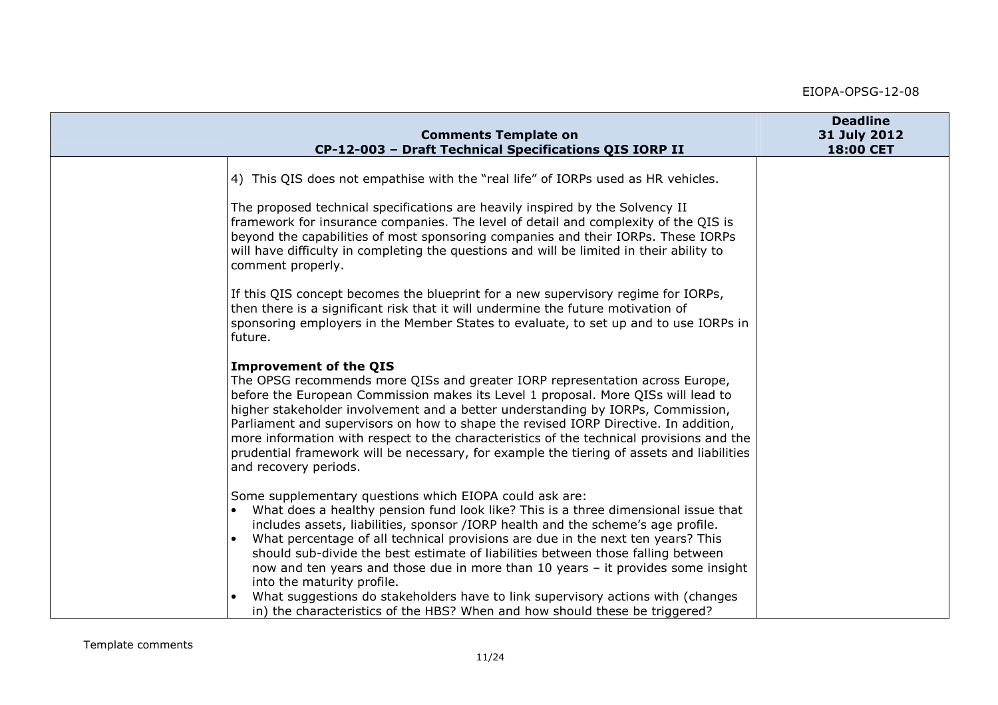| <b>Comments Template on</b>                                                                                                                                                                                                                                                                                                                                                                                                                                                                                                                                                                                                                                                                  | <b>Deadline</b><br>31 July 2012 |
|----------------------------------------------------------------------------------------------------------------------------------------------------------------------------------------------------------------------------------------------------------------------------------------------------------------------------------------------------------------------------------------------------------------------------------------------------------------------------------------------------------------------------------------------------------------------------------------------------------------------------------------------------------------------------------------------|---------------------------------|
| CP-12-003 - Draft Technical Specifications QIS IORP II                                                                                                                                                                                                                                                                                                                                                                                                                                                                                                                                                                                                                                       | 18:00 CET                       |
| 4) This QIS does not empathise with the "real life" of IORPs used as HR vehicles.                                                                                                                                                                                                                                                                                                                                                                                                                                                                                                                                                                                                            |                                 |
| The proposed technical specifications are heavily inspired by the Solvency II<br>framework for insurance companies. The level of detail and complexity of the QIS is<br>beyond the capabilities of most sponsoring companies and their IORPs. These IORPs<br>will have difficulty in completing the questions and will be limited in their ability to<br>comment properly.                                                                                                                                                                                                                                                                                                                   |                                 |
| If this QIS concept becomes the blueprint for a new supervisory regime for IORPs,<br>then there is a significant risk that it will undermine the future motivation of<br>sponsoring employers in the Member States to evaluate, to set up and to use IORPs in<br>future.                                                                                                                                                                                                                                                                                                                                                                                                                     |                                 |
| <b>Improvement of the QIS</b><br>The OPSG recommends more QISs and greater IORP representation across Europe,<br>before the European Commission makes its Level 1 proposal. More QISs will lead to<br>higher stakeholder involvement and a better understanding by IORPs, Commission,<br>Parliament and supervisors on how to shape the revised IORP Directive. In addition,<br>more information with respect to the characteristics of the technical provisions and the<br>prudential framework will be necessary, for example the tiering of assets and liabilities<br>and recovery periods.                                                                                               |                                 |
| Some supplementary questions which EIOPA could ask are:<br>What does a healthy pension fund look like? This is a three dimensional issue that<br>includes assets, liabilities, sponsor /IORP health and the scheme's age profile.<br>What percentage of all technical provisions are due in the next ten years? This<br>should sub-divide the best estimate of liabilities between those falling between<br>now and ten years and those due in more than 10 years - it provides some insight<br>into the maturity profile.<br>What suggestions do stakeholders have to link supervisory actions with (changes<br>in) the characteristics of the HBS? When and how should these be triggered? |                                 |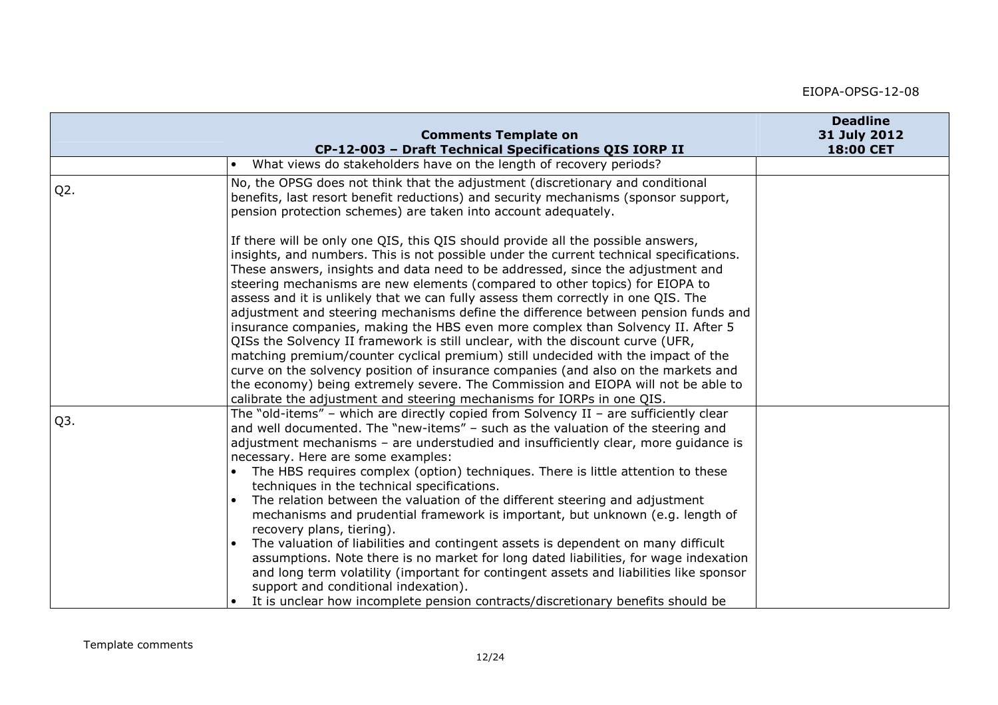|        | <b>Comments Template on</b>                                                                                                                                                                                                                                                                                                                                                                                                                                                                                                                                                                                                                                                                                                                                                                                                                                                                                                                                                                                                              | <b>Deadline</b><br>31 July 2012 |
|--------|------------------------------------------------------------------------------------------------------------------------------------------------------------------------------------------------------------------------------------------------------------------------------------------------------------------------------------------------------------------------------------------------------------------------------------------------------------------------------------------------------------------------------------------------------------------------------------------------------------------------------------------------------------------------------------------------------------------------------------------------------------------------------------------------------------------------------------------------------------------------------------------------------------------------------------------------------------------------------------------------------------------------------------------|---------------------------------|
|        | CP-12-003 - Draft Technical Specifications QIS IORP II                                                                                                                                                                                                                                                                                                                                                                                                                                                                                                                                                                                                                                                                                                                                                                                                                                                                                                                                                                                   | <b>18:00 CET</b>                |
|        | What views do stakeholders have on the length of recovery periods?                                                                                                                                                                                                                                                                                                                                                                                                                                                                                                                                                                                                                                                                                                                                                                                                                                                                                                                                                                       |                                 |
| $Q2$ . | No, the OPSG does not think that the adjustment (discretionary and conditional<br>benefits, last resort benefit reductions) and security mechanisms (sponsor support,<br>pension protection schemes) are taken into account adequately.                                                                                                                                                                                                                                                                                                                                                                                                                                                                                                                                                                                                                                                                                                                                                                                                  |                                 |
|        | If there will be only one QIS, this QIS should provide all the possible answers,<br>insights, and numbers. This is not possible under the current technical specifications.<br>These answers, insights and data need to be addressed, since the adjustment and<br>steering mechanisms are new elements (compared to other topics) for EIOPA to<br>assess and it is unlikely that we can fully assess them correctly in one QIS. The<br>adjustment and steering mechanisms define the difference between pension funds and<br>insurance companies, making the HBS even more complex than Solvency II. After 5<br>QISs the Solvency II framework is still unclear, with the discount curve (UFR,<br>matching premium/counter cyclical premium) still undecided with the impact of the<br>curve on the solvency position of insurance companies (and also on the markets and<br>the economy) being extremely severe. The Commission and EIOPA will not be able to<br>calibrate the adjustment and steering mechanisms for IORPs in one QIS. |                                 |
| Q3.    | The "old-items" – which are directly copied from Solvency II – are sufficiently clear<br>and well documented. The "new-items" - such as the valuation of the steering and<br>adjustment mechanisms - are understudied and insufficiently clear, more guidance is<br>necessary. Here are some examples:<br>The HBS requires complex (option) techniques. There is little attention to these<br>techniques in the technical specifications.<br>The relation between the valuation of the different steering and adjustment<br>mechanisms and prudential framework is important, but unknown (e.g. length of<br>recovery plans, tiering).<br>The valuation of liabilities and contingent assets is dependent on many difficult<br>assumptions. Note there is no market for long dated liabilities, for wage indexation<br>and long term volatility (important for contingent assets and liabilities like sponsor<br>support and conditional indexation).<br>It is unclear how incomplete pension contracts/discretionary benefits should be |                                 |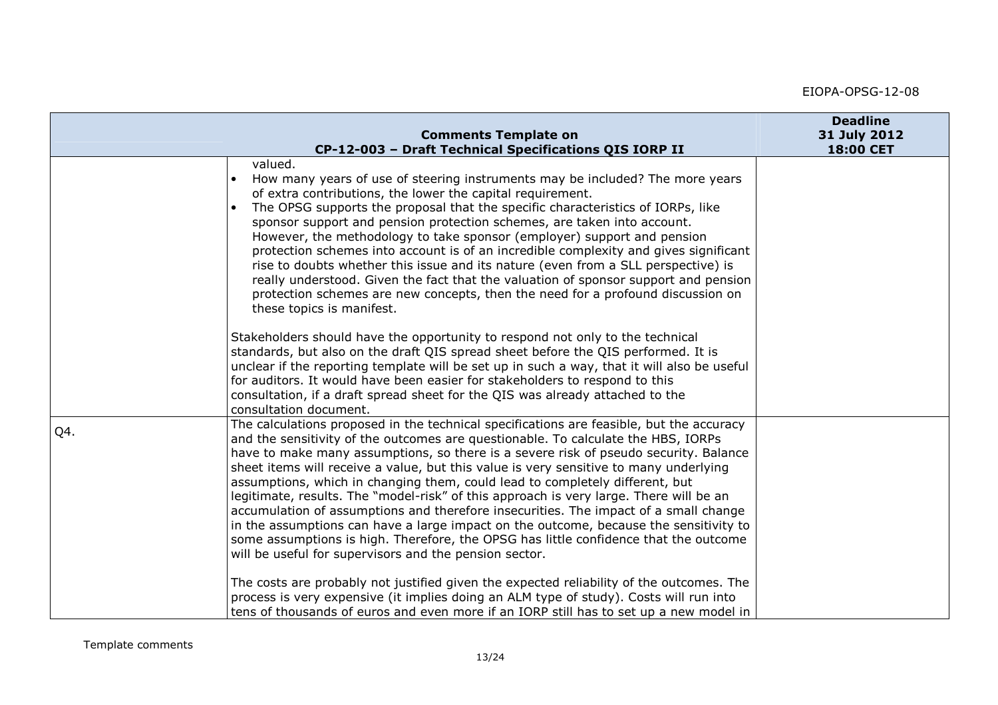|     | <b>Comments Template on</b><br>CP-12-003 - Draft Technical Specifications QIS IORP II                                                                                                                                                                                                                                                                                                                                                                                                                                                                                                                                                                                                                                                                                                                                                                                       | <b>Deadline</b><br>31 July 2012<br>18:00 CET |
|-----|-----------------------------------------------------------------------------------------------------------------------------------------------------------------------------------------------------------------------------------------------------------------------------------------------------------------------------------------------------------------------------------------------------------------------------------------------------------------------------------------------------------------------------------------------------------------------------------------------------------------------------------------------------------------------------------------------------------------------------------------------------------------------------------------------------------------------------------------------------------------------------|----------------------------------------------|
|     | valued.<br>How many years of use of steering instruments may be included? The more years<br>of extra contributions, the lower the capital requirement.<br>The OPSG supports the proposal that the specific characteristics of IORPs, like<br>sponsor support and pension protection schemes, are taken into account.<br>However, the methodology to take sponsor (employer) support and pension<br>protection schemes into account is of an incredible complexity and gives significant<br>rise to doubts whether this issue and its nature (even from a SLL perspective) is<br>really understood. Given the fact that the valuation of sponsor support and pension<br>protection schemes are new concepts, then the need for a profound discussion on<br>these topics is manifest.                                                                                         |                                              |
|     | Stakeholders should have the opportunity to respond not only to the technical<br>standards, but also on the draft QIS spread sheet before the QIS performed. It is<br>unclear if the reporting template will be set up in such a way, that it will also be useful<br>for auditors. It would have been easier for stakeholders to respond to this<br>consultation, if a draft spread sheet for the QIS was already attached to the<br>consultation document.                                                                                                                                                                                                                                                                                                                                                                                                                 |                                              |
| Q4. | The calculations proposed in the technical specifications are feasible, but the accuracy<br>and the sensitivity of the outcomes are questionable. To calculate the HBS, IORPs<br>have to make many assumptions, so there is a severe risk of pseudo security. Balance<br>sheet items will receive a value, but this value is very sensitive to many underlying<br>assumptions, which in changing them, could lead to completely different, but<br>legitimate, results. The "model-risk" of this approach is very large. There will be an<br>accumulation of assumptions and therefore insecurities. The impact of a small change<br>in the assumptions can have a large impact on the outcome, because the sensitivity to<br>some assumptions is high. Therefore, the OPSG has little confidence that the outcome<br>will be useful for supervisors and the pension sector. |                                              |
|     | The costs are probably not justified given the expected reliability of the outcomes. The<br>process is very expensive (it implies doing an ALM type of study). Costs will run into<br>tens of thousands of euros and even more if an IORP still has to set up a new model in                                                                                                                                                                                                                                                                                                                                                                                                                                                                                                                                                                                                |                                              |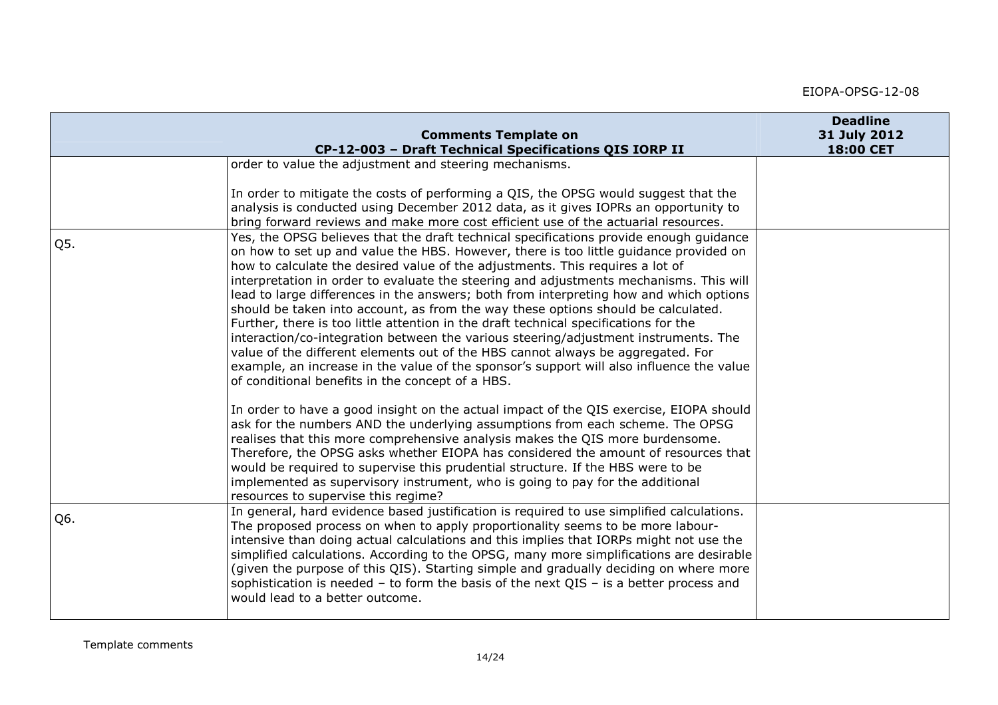|     | <b>Comments Template on</b><br>CP-12-003 - Draft Technical Specifications QIS IORP II                                                                                                                                                                                                                                                                                                                                                                                                                                                                                                                                                                                                                                                                                                                                                                                                                                                                       | <b>Deadline</b><br>31 July 2012<br>18:00 CET |
|-----|-------------------------------------------------------------------------------------------------------------------------------------------------------------------------------------------------------------------------------------------------------------------------------------------------------------------------------------------------------------------------------------------------------------------------------------------------------------------------------------------------------------------------------------------------------------------------------------------------------------------------------------------------------------------------------------------------------------------------------------------------------------------------------------------------------------------------------------------------------------------------------------------------------------------------------------------------------------|----------------------------------------------|
|     | order to value the adjustment and steering mechanisms.                                                                                                                                                                                                                                                                                                                                                                                                                                                                                                                                                                                                                                                                                                                                                                                                                                                                                                      |                                              |
|     | In order to mitigate the costs of performing a QIS, the OPSG would suggest that the<br>analysis is conducted using December 2012 data, as it gives IOPRs an opportunity to<br>bring forward reviews and make more cost efficient use of the actuarial resources.                                                                                                                                                                                                                                                                                                                                                                                                                                                                                                                                                                                                                                                                                            |                                              |
| Q5. | Yes, the OPSG believes that the draft technical specifications provide enough quidance<br>on how to set up and value the HBS. However, there is too little guidance provided on<br>how to calculate the desired value of the adjustments. This requires a lot of<br>interpretation in order to evaluate the steering and adjustments mechanisms. This will<br>lead to large differences in the answers; both from interpreting how and which options<br>should be taken into account, as from the way these options should be calculated.<br>Further, there is too little attention in the draft technical specifications for the<br>interaction/co-integration between the various steering/adjustment instruments. The<br>value of the different elements out of the HBS cannot always be aggregated. For<br>example, an increase in the value of the sponsor's support will also influence the value<br>of conditional benefits in the concept of a HBS. |                                              |
|     | In order to have a good insight on the actual impact of the QIS exercise, EIOPA should<br>ask for the numbers AND the underlying assumptions from each scheme. The OPSG<br>realises that this more comprehensive analysis makes the QIS more burdensome.<br>Therefore, the OPSG asks whether EIOPA has considered the amount of resources that<br>would be required to supervise this prudential structure. If the HBS were to be<br>implemented as supervisory instrument, who is going to pay for the additional<br>resources to supervise this regime?                                                                                                                                                                                                                                                                                                                                                                                                   |                                              |
| Q6. | In general, hard evidence based justification is required to use simplified calculations.<br>The proposed process on when to apply proportionality seems to be more labour-<br>intensive than doing actual calculations and this implies that IORPs might not use the<br>simplified calculations. According to the OPSG, many more simplifications are desirable<br>(given the purpose of this QIS). Starting simple and gradually deciding on where more<br>sophistication is needed $-$ to form the basis of the next QIS $-$ is a better process and<br>would lead to a better outcome.                                                                                                                                                                                                                                                                                                                                                                  |                                              |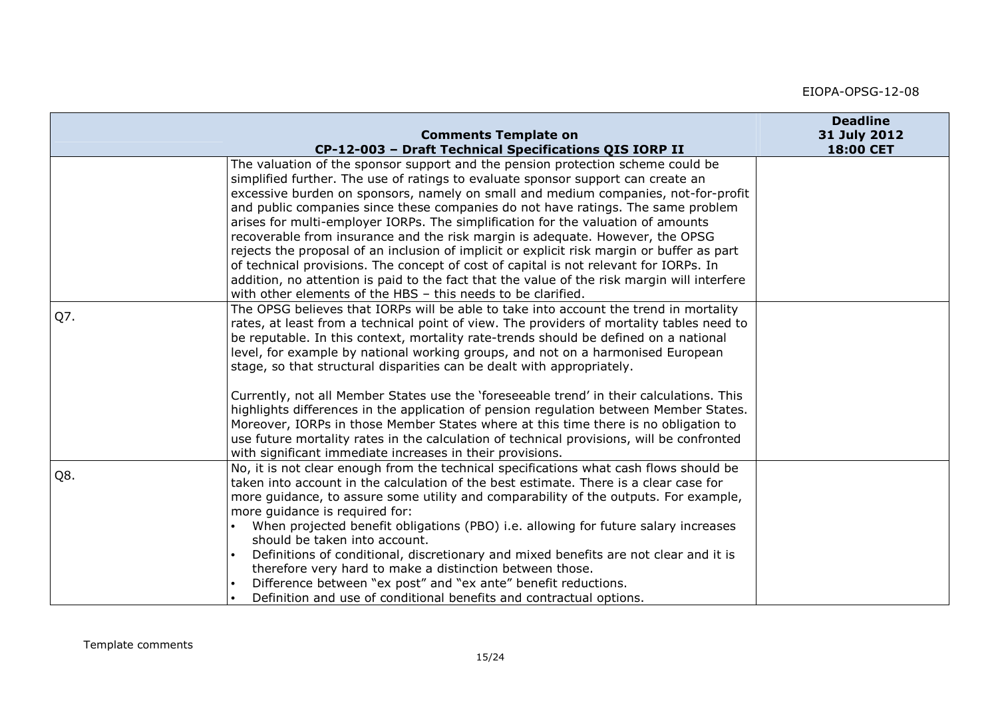|     | <b>Comments Template on</b><br>CP-12-003 - Draft Technical Specifications QIS IORP II                                                                                                | <b>Deadline</b><br>31 July 2012<br>18:00 CET |
|-----|--------------------------------------------------------------------------------------------------------------------------------------------------------------------------------------|----------------------------------------------|
|     | The valuation of the sponsor support and the pension protection scheme could be<br>simplified further. The use of ratings to evaluate sponsor support can create an                  |                                              |
|     | excessive burden on sponsors, namely on small and medium companies, not-for-profit                                                                                                   |                                              |
|     | and public companies since these companies do not have ratings. The same problem<br>arises for multi-employer IORPs. The simplification for the valuation of amounts                 |                                              |
|     | recoverable from insurance and the risk margin is adequate. However, the OPSG                                                                                                        |                                              |
|     | rejects the proposal of an inclusion of implicit or explicit risk margin or buffer as part                                                                                           |                                              |
|     | of technical provisions. The concept of cost of capital is not relevant for IORPs. In<br>addition, no attention is paid to the fact that the value of the risk margin will interfere |                                              |
|     | with other elements of the HBS - this needs to be clarified.                                                                                                                         |                                              |
| Q7. | The OPSG believes that IORPs will be able to take into account the trend in mortality                                                                                                |                                              |
|     | rates, at least from a technical point of view. The providers of mortality tables need to                                                                                            |                                              |
|     | be reputable. In this context, mortality rate-trends should be defined on a national<br>level, for example by national working groups, and not on a harmonised European              |                                              |
|     | stage, so that structural disparities can be dealt with appropriately.                                                                                                               |                                              |
|     | Currently, not all Member States use the 'foreseeable trend' in their calculations. This                                                                                             |                                              |
|     | highlights differences in the application of pension regulation between Member States.                                                                                               |                                              |
|     | Moreover, IORPs in those Member States where at this time there is no obligation to<br>use future mortality rates in the calculation of technical provisions, will be confronted     |                                              |
|     | with significant immediate increases in their provisions.                                                                                                                            |                                              |
| Q8. | No, it is not clear enough from the technical specifications what cash flows should be                                                                                               |                                              |
|     | taken into account in the calculation of the best estimate. There is a clear case for<br>more guidance, to assure some utility and comparability of the outputs. For example,        |                                              |
|     | more guidance is required for:                                                                                                                                                       |                                              |
|     | When projected benefit obligations (PBO) i.e. allowing for future salary increases                                                                                                   |                                              |
|     | should be taken into account.                                                                                                                                                        |                                              |
|     | Definitions of conditional, discretionary and mixed benefits are not clear and it is<br>therefore very hard to make a distinction between those.                                     |                                              |
|     | Difference between "ex post" and "ex ante" benefit reductions.                                                                                                                       |                                              |
|     | Definition and use of conditional benefits and contractual options.                                                                                                                  |                                              |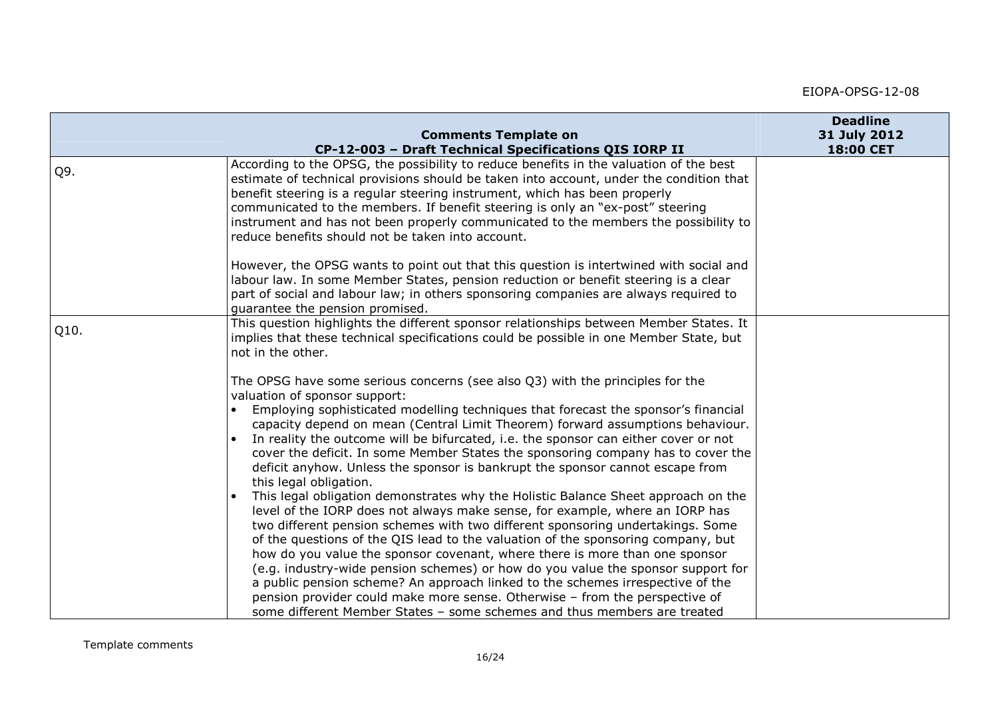|                                                                                                                                                                                                                                                                                                                                                                                                                                                                                                                                                                                                                                                                                                                                                                                                                                                                                                                                                                                                                                                                                                                                                                                                                                                             | <b>Deadline</b><br>31 July 2012                                                                         |
|-------------------------------------------------------------------------------------------------------------------------------------------------------------------------------------------------------------------------------------------------------------------------------------------------------------------------------------------------------------------------------------------------------------------------------------------------------------------------------------------------------------------------------------------------------------------------------------------------------------------------------------------------------------------------------------------------------------------------------------------------------------------------------------------------------------------------------------------------------------------------------------------------------------------------------------------------------------------------------------------------------------------------------------------------------------------------------------------------------------------------------------------------------------------------------------------------------------------------------------------------------------|---------------------------------------------------------------------------------------------------------|
| CP-12-003 - Draft Technical Specifications QIS IORP II                                                                                                                                                                                                                                                                                                                                                                                                                                                                                                                                                                                                                                                                                                                                                                                                                                                                                                                                                                                                                                                                                                                                                                                                      | 18:00 CET                                                                                               |
| According to the OPSG, the possibility to reduce benefits in the valuation of the best<br>estimate of technical provisions should be taken into account, under the condition that<br>benefit steering is a regular steering instrument, which has been properly<br>communicated to the members. If benefit steering is only an "ex-post" steering<br>instrument and has not been properly communicated to the members the possibility to<br>reduce benefits should not be taken into account.                                                                                                                                                                                                                                                                                                                                                                                                                                                                                                                                                                                                                                                                                                                                                               |                                                                                                         |
| However, the OPSG wants to point out that this question is intertwined with social and<br>labour law. In some Member States, pension reduction or benefit steering is a clear<br>part of social and labour law; in others sponsoring companies are always required to<br>guarantee the pension promised.                                                                                                                                                                                                                                                                                                                                                                                                                                                                                                                                                                                                                                                                                                                                                                                                                                                                                                                                                    |                                                                                                         |
| This question highlights the different sponsor relationships between Member States. It<br>implies that these technical specifications could be possible in one Member State, but<br>not in the other.                                                                                                                                                                                                                                                                                                                                                                                                                                                                                                                                                                                                                                                                                                                                                                                                                                                                                                                                                                                                                                                       |                                                                                                         |
| The OPSG have some serious concerns (see also Q3) with the principles for the<br>valuation of sponsor support:<br>Employing sophisticated modelling techniques that forecast the sponsor's financial<br>capacity depend on mean (Central Limit Theorem) forward assumptions behaviour.<br>In reality the outcome will be bifurcated, i.e. the sponsor can either cover or not<br>cover the deficit. In some Member States the sponsoring company has to cover the<br>deficit anyhow. Unless the sponsor is bankrupt the sponsor cannot escape from<br>this legal obligation.<br>This legal obligation demonstrates why the Holistic Balance Sheet approach on the<br>level of the IORP does not always make sense, for example, where an IORP has<br>two different pension schemes with two different sponsoring undertakings. Some<br>of the questions of the QIS lead to the valuation of the sponsoring company, but<br>how do you value the sponsor covenant, where there is more than one sponsor<br>(e.g. industry-wide pension schemes) or how do you value the sponsor support for<br>a public pension scheme? An approach linked to the schemes irrespective of the<br>pension provider could make more sense. Otherwise - from the perspective of |                                                                                                         |
|                                                                                                                                                                                                                                                                                                                                                                                                                                                                                                                                                                                                                                                                                                                                                                                                                                                                                                                                                                                                                                                                                                                                                                                                                                                             | <b>Comments Template on</b><br>some different Member States - some schemes and thus members are treated |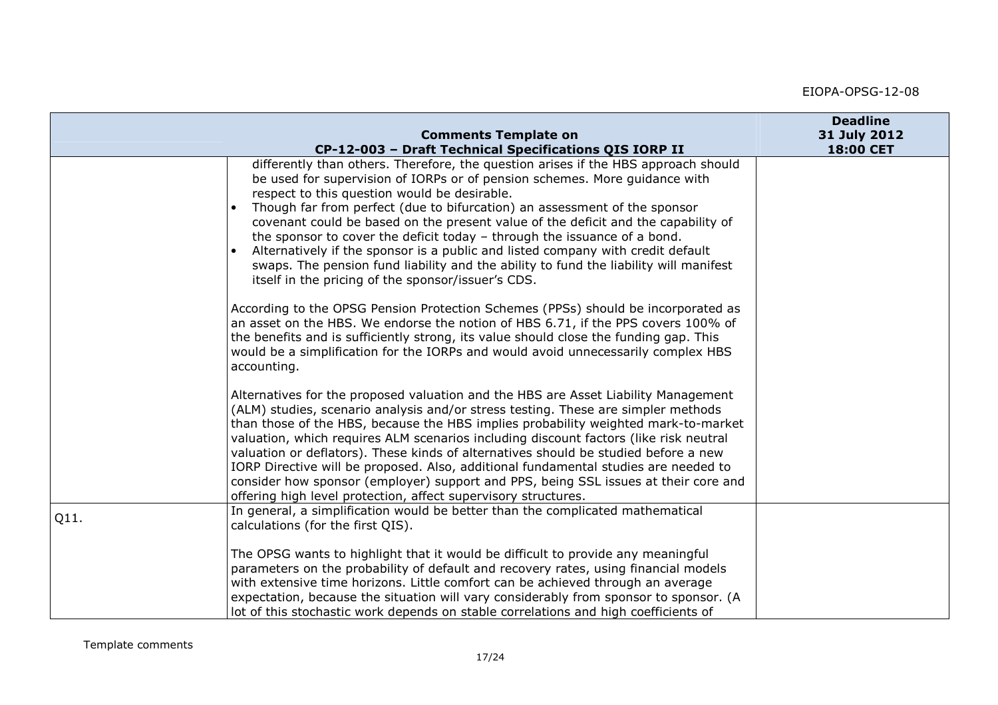|      | <b>Comments Template on</b>                                                                                                                                                                                                                                                                                                                                                                                                                                                                                                                                                                                                                                                                      | <b>Deadline</b><br>31 July 2012 |
|------|--------------------------------------------------------------------------------------------------------------------------------------------------------------------------------------------------------------------------------------------------------------------------------------------------------------------------------------------------------------------------------------------------------------------------------------------------------------------------------------------------------------------------------------------------------------------------------------------------------------------------------------------------------------------------------------------------|---------------------------------|
|      | CP-12-003 - Draft Technical Specifications QIS IORP II                                                                                                                                                                                                                                                                                                                                                                                                                                                                                                                                                                                                                                           | 18:00 CET                       |
|      | differently than others. Therefore, the question arises if the HBS approach should<br>be used for supervision of IORPs or of pension schemes. More guidance with<br>respect to this question would be desirable.<br>Though far from perfect (due to bifurcation) an assessment of the sponsor<br>covenant could be based on the present value of the deficit and the capability of<br>the sponsor to cover the deficit today - through the issuance of a bond.<br>Alternatively if the sponsor is a public and listed company with credit default<br>swaps. The pension fund liability and the ability to fund the liability will manifest<br>itself in the pricing of the sponsor/issuer's CDS. |                                 |
|      | According to the OPSG Pension Protection Schemes (PPSs) should be incorporated as<br>an asset on the HBS. We endorse the notion of HBS 6.71, if the PPS covers 100% of<br>the benefits and is sufficiently strong, its value should close the funding gap. This<br>would be a simplification for the IORPs and would avoid unnecessarily complex HBS<br>accounting.                                                                                                                                                                                                                                                                                                                              |                                 |
|      | Alternatives for the proposed valuation and the HBS are Asset Liability Management<br>(ALM) studies, scenario analysis and/or stress testing. These are simpler methods<br>than those of the HBS, because the HBS implies probability weighted mark-to-market<br>valuation, which requires ALM scenarios including discount factors (like risk neutral<br>valuation or deflators). These kinds of alternatives should be studied before a new<br>IORP Directive will be proposed. Also, additional fundamental studies are needed to<br>consider how sponsor (employer) support and PPS, being SSL issues at their core and<br>offering high level protection, affect supervisory structures.    |                                 |
| Q11. | In general, a simplification would be better than the complicated mathematical<br>calculations (for the first QIS).                                                                                                                                                                                                                                                                                                                                                                                                                                                                                                                                                                              |                                 |
|      | The OPSG wants to highlight that it would be difficult to provide any meaningful<br>parameters on the probability of default and recovery rates, using financial models<br>with extensive time horizons. Little comfort can be achieved through an average<br>expectation, because the situation will vary considerably from sponsor to sponsor. (A<br>lot of this stochastic work depends on stable correlations and high coefficients of                                                                                                                                                                                                                                                       |                                 |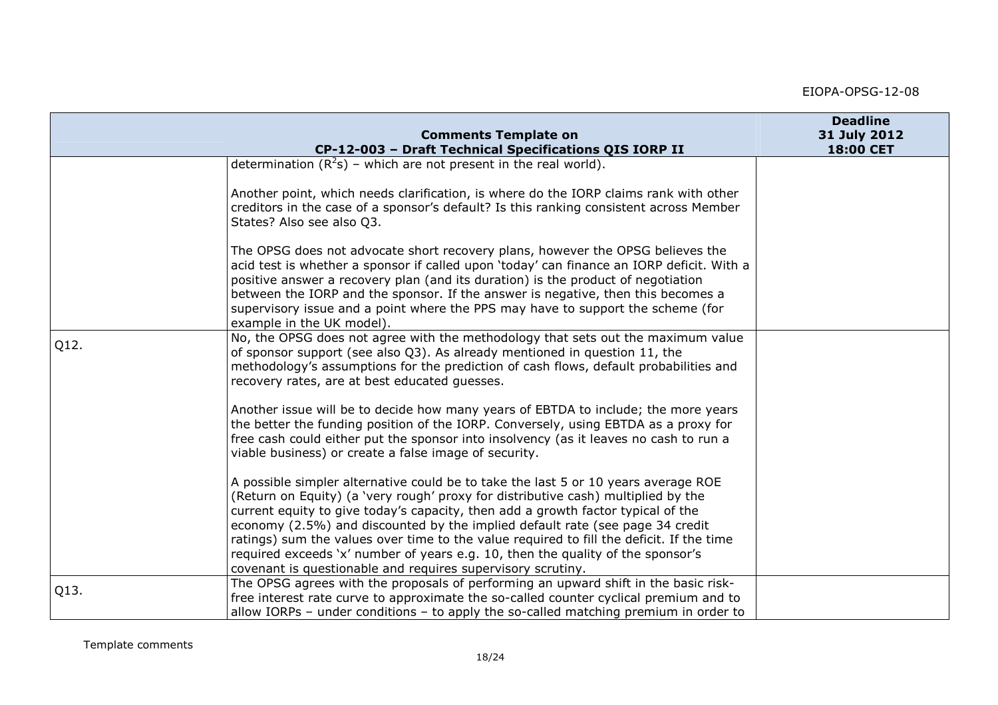|      | <b>Comments Template on</b>                                                                                                                                                                                                                                                                                                                                                                                                                                                                                                                                                                | <b>Deadline</b><br>31 July 2012 |
|------|--------------------------------------------------------------------------------------------------------------------------------------------------------------------------------------------------------------------------------------------------------------------------------------------------------------------------------------------------------------------------------------------------------------------------------------------------------------------------------------------------------------------------------------------------------------------------------------------|---------------------------------|
|      | CP-12-003 - Draft Technical Specifications QIS IORP II                                                                                                                                                                                                                                                                                                                                                                                                                                                                                                                                     | 18:00 CET                       |
|      | determination $(R^2s)$ – which are not present in the real world).                                                                                                                                                                                                                                                                                                                                                                                                                                                                                                                         |                                 |
|      | Another point, which needs clarification, is where do the IORP claims rank with other<br>creditors in the case of a sponsor's default? Is this ranking consistent across Member<br>States? Also see also Q3.                                                                                                                                                                                                                                                                                                                                                                               |                                 |
|      | The OPSG does not advocate short recovery plans, however the OPSG believes the<br>acid test is whether a sponsor if called upon 'today' can finance an IORP deficit. With a<br>positive answer a recovery plan (and its duration) is the product of negotiation<br>between the IORP and the sponsor. If the answer is negative, then this becomes a<br>supervisory issue and a point where the PPS may have to support the scheme (for<br>example in the UK model).                                                                                                                        |                                 |
| Q12. | No, the OPSG does not agree with the methodology that sets out the maximum value<br>of sponsor support (see also Q3). As already mentioned in question 11, the<br>methodology's assumptions for the prediction of cash flows, default probabilities and<br>recovery rates, are at best educated guesses.                                                                                                                                                                                                                                                                                   |                                 |
|      | Another issue will be to decide how many years of EBTDA to include; the more years<br>the better the funding position of the IORP. Conversely, using EBTDA as a proxy for<br>free cash could either put the sponsor into insolvency (as it leaves no cash to run a<br>viable business) or create a false image of security.                                                                                                                                                                                                                                                                |                                 |
|      | A possible simpler alternative could be to take the last 5 or 10 years average ROE<br>(Return on Equity) (a 'very rough' proxy for distributive cash) multiplied by the<br>current equity to give today's capacity, then add a growth factor typical of the<br>economy (2.5%) and discounted by the implied default rate (see page 34 credit<br>ratings) sum the values over time to the value required to fill the deficit. If the time<br>required exceeds 'x' number of years e.g. 10, then the quality of the sponsor's<br>covenant is questionable and requires supervisory scrutiny. |                                 |
| Q13. | The OPSG agrees with the proposals of performing an upward shift in the basic risk-<br>free interest rate curve to approximate the so-called counter cyclical premium and to<br>allow IORPs - under conditions - to apply the so-called matching premium in order to                                                                                                                                                                                                                                                                                                                       |                                 |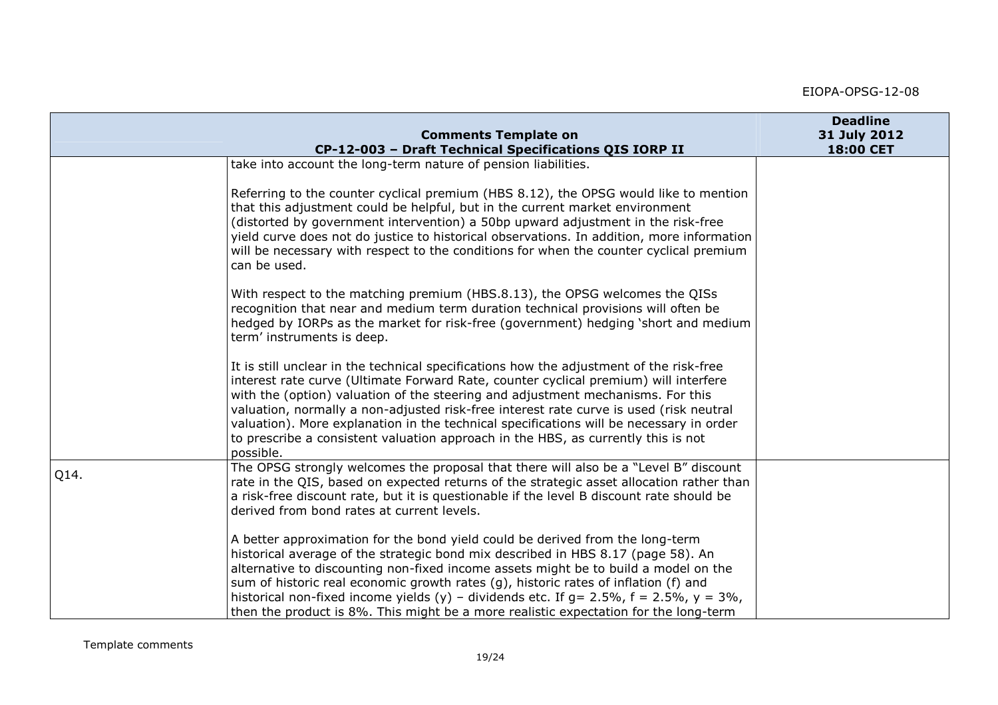|      | <b>Comments Template on</b><br>CP-12-003 - Draft Technical Specifications QIS IORP II                                                                                                                                                                                                                                                                                                                                                                                                                                                                     | <b>Deadline</b><br>31 July 2012<br>18:00 CET |
|------|-----------------------------------------------------------------------------------------------------------------------------------------------------------------------------------------------------------------------------------------------------------------------------------------------------------------------------------------------------------------------------------------------------------------------------------------------------------------------------------------------------------------------------------------------------------|----------------------------------------------|
|      | take into account the long-term nature of pension liabilities.                                                                                                                                                                                                                                                                                                                                                                                                                                                                                            |                                              |
|      |                                                                                                                                                                                                                                                                                                                                                                                                                                                                                                                                                           |                                              |
|      | Referring to the counter cyclical premium (HBS 8.12), the OPSG would like to mention<br>that this adjustment could be helpful, but in the current market environment<br>(distorted by government intervention) a 50bp upward adjustment in the risk-free<br>yield curve does not do justice to historical observations. In addition, more information<br>will be necessary with respect to the conditions for when the counter cyclical premium<br>can be used.                                                                                           |                                              |
|      | With respect to the matching premium (HBS.8.13), the OPSG welcomes the QISs<br>recognition that near and medium term duration technical provisions will often be<br>hedged by IORPs as the market for risk-free (government) hedging 'short and medium<br>term' instruments is deep.                                                                                                                                                                                                                                                                      |                                              |
|      | It is still unclear in the technical specifications how the adjustment of the risk-free<br>interest rate curve (Ultimate Forward Rate, counter cyclical premium) will interfere<br>with the (option) valuation of the steering and adjustment mechanisms. For this<br>valuation, normally a non-adjusted risk-free interest rate curve is used (risk neutral<br>valuation). More explanation in the technical specifications will be necessary in order<br>to prescribe a consistent valuation approach in the HBS, as currently this is not<br>possible. |                                              |
| Q14. | The OPSG strongly welcomes the proposal that there will also be a "Level B" discount<br>rate in the QIS, based on expected returns of the strategic asset allocation rather than<br>a risk-free discount rate, but it is questionable if the level B discount rate should be<br>derived from bond rates at current levels.                                                                                                                                                                                                                                |                                              |
|      | A better approximation for the bond yield could be derived from the long-term<br>historical average of the strategic bond mix described in HBS 8.17 (page 58). An<br>alternative to discounting non-fixed income assets might be to build a model on the<br>sum of historic real economic growth rates (g), historic rates of inflation (f) and<br>historical non-fixed income yields (y) - dividends etc. If $g = 2.5\%$ , $f = 2.5\%$ , $y = 3\%$ ,<br>then the product is 8%. This might be a more realistic expectation for the long-term             |                                              |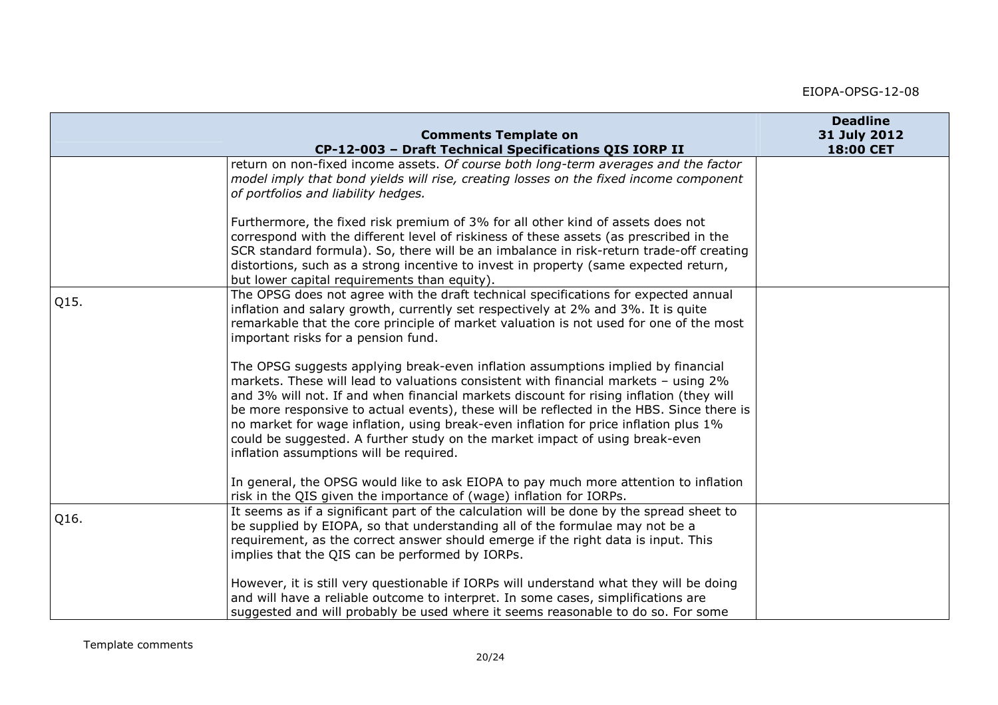|      | <b>Comments Template on</b>                                                                                                                                                                                                                                                                                                                                                                                                                                                                                                                                                       | <b>Deadline</b><br>31 July 2012 |
|------|-----------------------------------------------------------------------------------------------------------------------------------------------------------------------------------------------------------------------------------------------------------------------------------------------------------------------------------------------------------------------------------------------------------------------------------------------------------------------------------------------------------------------------------------------------------------------------------|---------------------------------|
|      | CP-12-003 - Draft Technical Specifications QIS IORP II                                                                                                                                                                                                                                                                                                                                                                                                                                                                                                                            | 18:00 CET                       |
|      | return on non-fixed income assets. Of course both long-term averages and the factor<br>model imply that bond yields will rise, creating losses on the fixed income component<br>of portfolios and liability hedges.                                                                                                                                                                                                                                                                                                                                                               |                                 |
|      | Furthermore, the fixed risk premium of 3% for all other kind of assets does not<br>correspond with the different level of riskiness of these assets (as prescribed in the<br>SCR standard formula). So, there will be an imbalance in risk-return trade-off creating<br>distortions, such as a strong incentive to invest in property (same expected return,<br>but lower capital requirements than equity).                                                                                                                                                                      |                                 |
| Q15. | The OPSG does not agree with the draft technical specifications for expected annual<br>inflation and salary growth, currently set respectively at 2% and 3%. It is quite<br>remarkable that the core principle of market valuation is not used for one of the most<br>important risks for a pension fund.                                                                                                                                                                                                                                                                         |                                 |
|      | The OPSG suggests applying break-even inflation assumptions implied by financial<br>markets. These will lead to valuations consistent with financial markets - using 2%<br>and 3% will not. If and when financial markets discount for rising inflation (they will<br>be more responsive to actual events), these will be reflected in the HBS. Since there is<br>no market for wage inflation, using break-even inflation for price inflation plus 1%<br>could be suggested. A further study on the market impact of using break-even<br>inflation assumptions will be required. |                                 |
|      | In general, the OPSG would like to ask EIOPA to pay much more attention to inflation<br>risk in the QIS given the importance of (wage) inflation for IORPs.                                                                                                                                                                                                                                                                                                                                                                                                                       |                                 |
| Q16. | It seems as if a significant part of the calculation will be done by the spread sheet to<br>be supplied by EIOPA, so that understanding all of the formulae may not be a<br>requirement, as the correct answer should emerge if the right data is input. This<br>implies that the QIS can be performed by IORPs.                                                                                                                                                                                                                                                                  |                                 |
|      | However, it is still very questionable if IORPs will understand what they will be doing<br>and will have a reliable outcome to interpret. In some cases, simplifications are<br>suggested and will probably be used where it seems reasonable to do so. For some                                                                                                                                                                                                                                                                                                                  |                                 |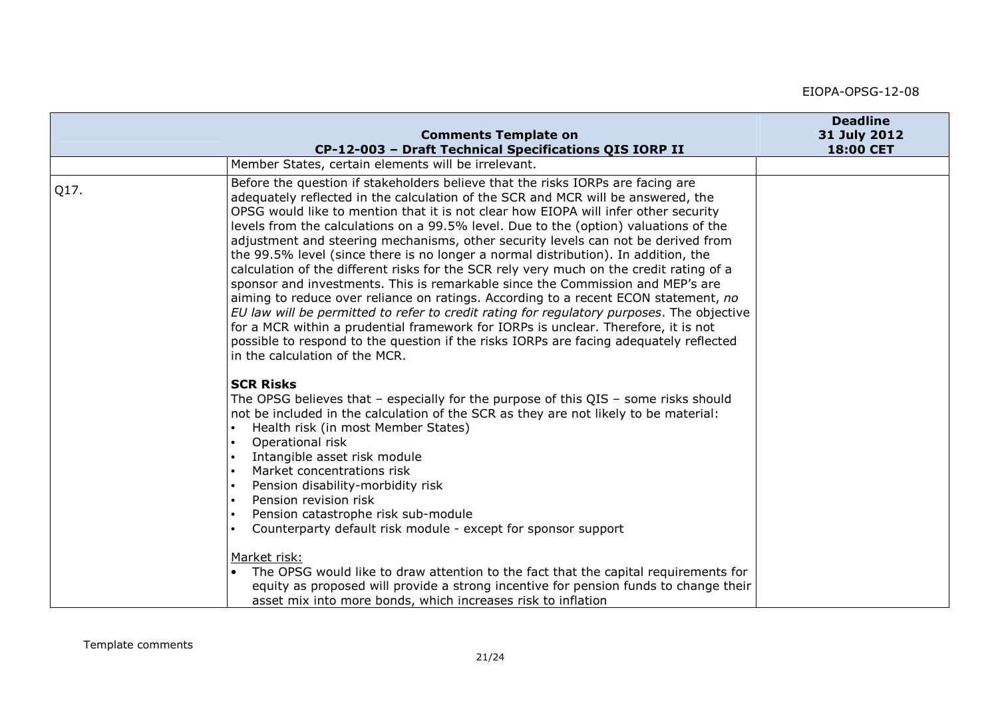|      | <b>Comments Template on</b>                                                                                                                                                                                                                                                                                                                                                                                                                                                                                                                                                                                                                                                                                                                                                                                                                                                                                                                                                                                                                                                                                      | <b>Deadline</b><br>31 July 2012 |
|------|------------------------------------------------------------------------------------------------------------------------------------------------------------------------------------------------------------------------------------------------------------------------------------------------------------------------------------------------------------------------------------------------------------------------------------------------------------------------------------------------------------------------------------------------------------------------------------------------------------------------------------------------------------------------------------------------------------------------------------------------------------------------------------------------------------------------------------------------------------------------------------------------------------------------------------------------------------------------------------------------------------------------------------------------------------------------------------------------------------------|---------------------------------|
|      | CP-12-003 - Draft Technical Specifications QIS IORP II                                                                                                                                                                                                                                                                                                                                                                                                                                                                                                                                                                                                                                                                                                                                                                                                                                                                                                                                                                                                                                                           | 18:00 CET                       |
|      | Member States, certain elements will be irrelevant.                                                                                                                                                                                                                                                                                                                                                                                                                                                                                                                                                                                                                                                                                                                                                                                                                                                                                                                                                                                                                                                              |                                 |
| Q17. | Before the question if stakeholders believe that the risks IORPs are facing are<br>adequately reflected in the calculation of the SCR and MCR will be answered, the<br>OPSG would like to mention that it is not clear how EIOPA will infer other security<br>levels from the calculations on a 99.5% level. Due to the (option) valuations of the<br>adjustment and steering mechanisms, other security levels can not be derived from<br>the 99.5% level (since there is no longer a normal distribution). In addition, the<br>calculation of the different risks for the SCR rely very much on the credit rating of a<br>sponsor and investments. This is remarkable since the Commission and MEP's are<br>aiming to reduce over reliance on ratings. According to a recent ECON statement, no<br>EU law will be permitted to refer to credit rating for regulatory purposes. The objective<br>for a MCR within a prudential framework for IORPs is unclear. Therefore, it is not<br>possible to respond to the question if the risks IORPs are facing adequately reflected<br>in the calculation of the MCR. |                                 |
|      | <b>SCR Risks</b><br>The OPSG believes that $-$ especially for the purpose of this QIS $-$ some risks should<br>not be included in the calculation of the SCR as they are not likely to be material:<br>Health risk (in most Member States)<br>Operational risk<br>Intangible asset risk module<br>Market concentrations risk<br>Pension disability-morbidity risk<br>Pension revision risk<br>Pension catastrophe risk sub-module<br>Counterparty default risk module - except for sponsor support                                                                                                                                                                                                                                                                                                                                                                                                                                                                                                                                                                                                               |                                 |
|      | Market risk:<br>The OPSG would like to draw attention to the fact that the capital requirements for<br>equity as proposed will provide a strong incentive for pension funds to change their<br>asset mix into more bonds, which increases risk to inflation                                                                                                                                                                                                                                                                                                                                                                                                                                                                                                                                                                                                                                                                                                                                                                                                                                                      |                                 |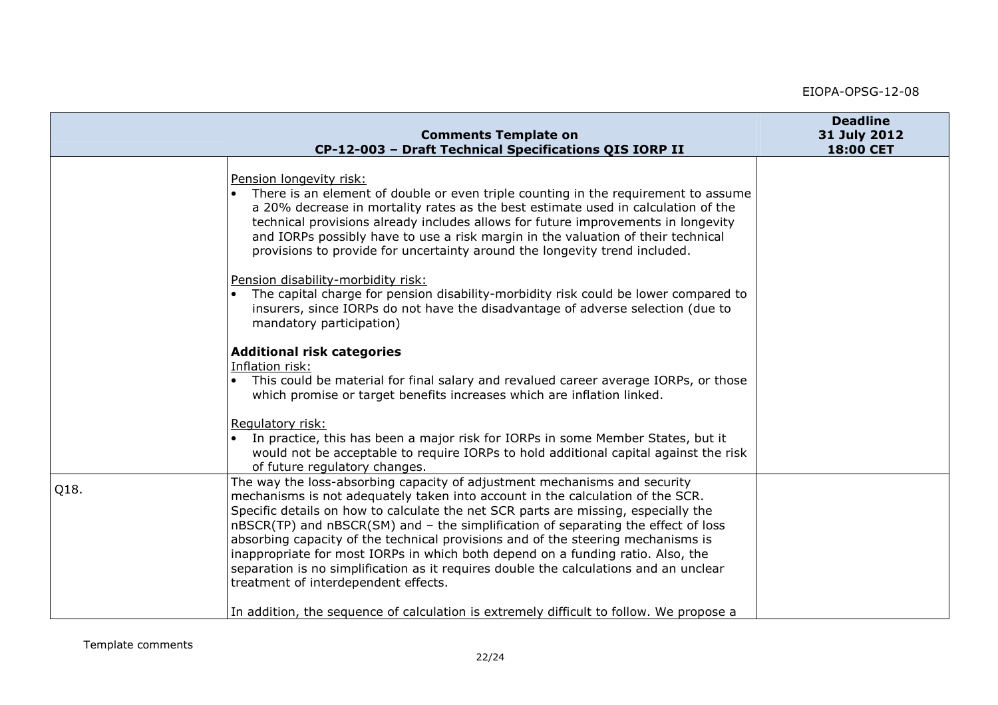|      | <b>Comments Template on</b><br>CP-12-003 - Draft Technical Specifications QIS IORP II                                                                                                                                                                                                                                                                                                                                                                                                                                                                                                                                                                                                                                                                                                                                                                                                                                                              | <b>Deadline</b><br>31 July 2012<br>18:00 CET |
|------|----------------------------------------------------------------------------------------------------------------------------------------------------------------------------------------------------------------------------------------------------------------------------------------------------------------------------------------------------------------------------------------------------------------------------------------------------------------------------------------------------------------------------------------------------------------------------------------------------------------------------------------------------------------------------------------------------------------------------------------------------------------------------------------------------------------------------------------------------------------------------------------------------------------------------------------------------|----------------------------------------------|
|      | Pension longevity risk:<br>There is an element of double or even triple counting in the requirement to assume<br>a 20% decrease in mortality rates as the best estimate used in calculation of the<br>technical provisions already includes allows for future improvements in longevity<br>and IORPs possibly have to use a risk margin in the valuation of their technical<br>provisions to provide for uncertainty around the longevity trend included.<br>Pension disability-morbidity risk:<br>The capital charge for pension disability-morbidity risk could be lower compared to<br>insurers, since IORPs do not have the disadvantage of adverse selection (due to<br>mandatory participation)<br><b>Additional risk categories</b><br>Inflation risk:<br>This could be material for final salary and revalued career average IORPs, or those<br>which promise or target benefits increases which are inflation linked.<br>Regulatory risk: |                                              |
|      | In practice, this has been a major risk for IORPs in some Member States, but it<br>would not be acceptable to require IORPs to hold additional capital against the risk<br>of future regulatory changes.                                                                                                                                                                                                                                                                                                                                                                                                                                                                                                                                                                                                                                                                                                                                           |                                              |
| Q18. | The way the loss-absorbing capacity of adjustment mechanisms and security<br>mechanisms is not adequately taken into account in the calculation of the SCR.<br>Specific details on how to calculate the net SCR parts are missing, especially the<br>nBSCR(TP) and nBSCR(SM) and - the simplification of separating the effect of loss<br>absorbing capacity of the technical provisions and of the steering mechanisms is<br>inappropriate for most IORPs in which both depend on a funding ratio. Also, the<br>separation is no simplification as it requires double the calculations and an unclear<br>treatment of interdependent effects.                                                                                                                                                                                                                                                                                                     |                                              |
|      | In addition, the sequence of calculation is extremely difficult to follow. We propose a                                                                                                                                                                                                                                                                                                                                                                                                                                                                                                                                                                                                                                                                                                                                                                                                                                                            |                                              |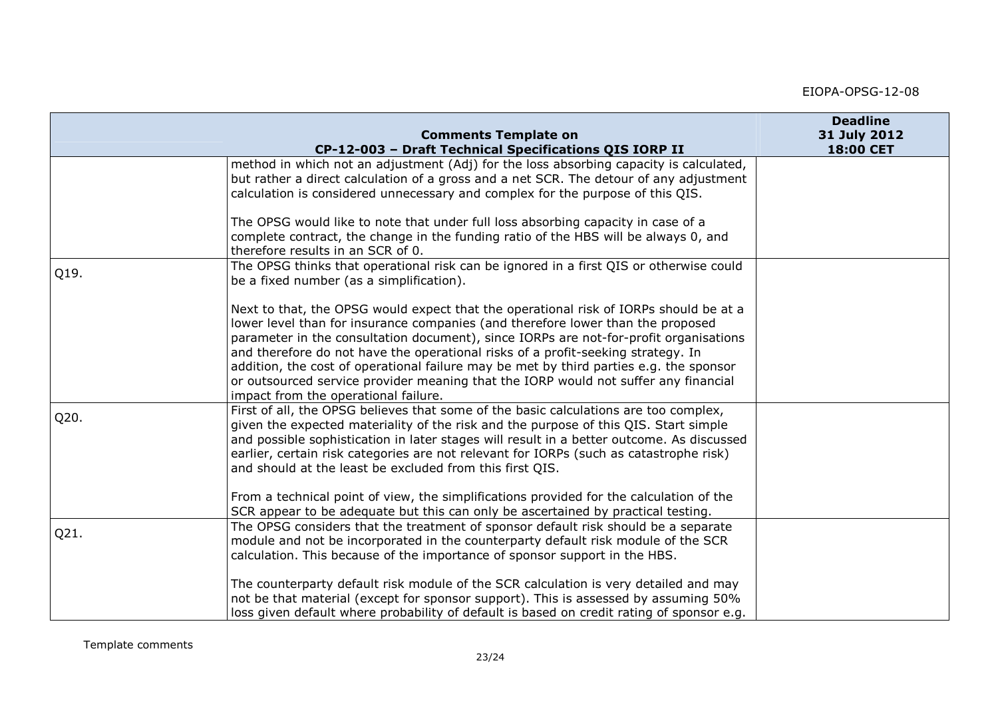|      | <b>Comments Template on</b>                                                                                                                                                                                                                                                                                                                                                                                                                                                                                                                                                                                    | <b>Deadline</b><br>31 July 2012 |
|------|----------------------------------------------------------------------------------------------------------------------------------------------------------------------------------------------------------------------------------------------------------------------------------------------------------------------------------------------------------------------------------------------------------------------------------------------------------------------------------------------------------------------------------------------------------------------------------------------------------------|---------------------------------|
|      | CP-12-003 - Draft Technical Specifications QIS IORP II                                                                                                                                                                                                                                                                                                                                                                                                                                                                                                                                                         | 18:00 CET                       |
|      | method in which not an adjustment (Adj) for the loss absorbing capacity is calculated,<br>but rather a direct calculation of a gross and a net SCR. The detour of any adjustment<br>calculation is considered unnecessary and complex for the purpose of this QIS.                                                                                                                                                                                                                                                                                                                                             |                                 |
|      | The OPSG would like to note that under full loss absorbing capacity in case of a<br>complete contract, the change in the funding ratio of the HBS will be always 0, and<br>therefore results in an SCR of 0.                                                                                                                                                                                                                                                                                                                                                                                                   |                                 |
| Q19. | The OPSG thinks that operational risk can be ignored in a first QIS or otherwise could<br>be a fixed number (as a simplification).                                                                                                                                                                                                                                                                                                                                                                                                                                                                             |                                 |
|      | Next to that, the OPSG would expect that the operational risk of IORPs should be at a<br>lower level than for insurance companies (and therefore lower than the proposed<br>parameter in the consultation document), since IORPs are not-for-profit organisations<br>and therefore do not have the operational risks of a profit-seeking strategy. In<br>addition, the cost of operational failure may be met by third parties e.g. the sponsor<br>or outsourced service provider meaning that the IORP would not suffer any financial<br>impact from the operational failure.                                 |                                 |
| Q20. | First of all, the OPSG believes that some of the basic calculations are too complex,<br>given the expected materiality of the risk and the purpose of this QIS. Start simple<br>and possible sophistication in later stages will result in a better outcome. As discussed<br>earlier, certain risk categories are not relevant for IORPs (such as catastrophe risk)<br>and should at the least be excluded from this first QIS.<br>From a technical point of view, the simplifications provided for the calculation of the<br>SCR appear to be adequate but this can only be ascertained by practical testing. |                                 |
| Q21. | The OPSG considers that the treatment of sponsor default risk should be a separate<br>module and not be incorporated in the counterparty default risk module of the SCR<br>calculation. This because of the importance of sponsor support in the HBS.<br>The counterparty default risk module of the SCR calculation is very detailed and may<br>not be that material (except for sponsor support). This is assessed by assuming 50%<br>loss given default where probability of default is based on credit rating of sponsor e.g.                                                                              |                                 |